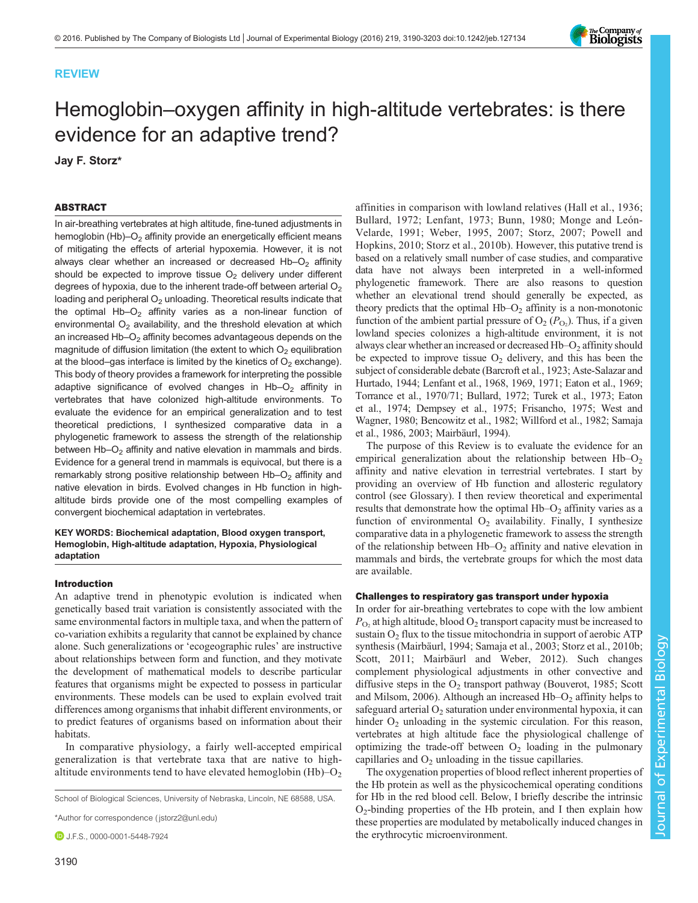# REVIEW

# Hemoglobin–oxygen affinity in high-altitude vertebrates: is there evidence for an adaptive trend?

Jay F. Storz\*

# ABSTRACT

In air-breathing vertebrates at high altitude, fine-tuned adjustments in hemoglobin  $(Hb)$ – $O<sub>2</sub>$  affinity provide an energetically efficient means of mitigating the effects of arterial hypoxemia. However, it is not always clear whether an increased or decreased  $Hb-O<sub>2</sub>$  affinity should be expected to improve tissue  $O<sub>2</sub>$  delivery under different degrees of hypoxia, due to the inherent trade-off between arterial  $O<sub>2</sub>$ loading and peripheral  $O<sub>2</sub>$  unloading. Theoretical results indicate that the optimal Hb- $O<sub>2</sub>$  affinity varies as a non-linear function of environmental  $O<sub>2</sub>$  availability, and the threshold elevation at which an increased  $Hb-O<sub>2</sub>$  affinity becomes advantageous depends on the magnitude of diffusion limitation (the extent to which  $O<sub>2</sub>$  equilibration at the blood–gas interface is limited by the kinetics of  $O<sub>2</sub>$  exchange). This body of theory provides a framework for interpreting the possible adaptive significance of evolved changes in  $Hb-O<sub>2</sub>$  affinity in vertebrates that have colonized high-altitude environments. To evaluate the evidence for an empirical generalization and to test theoretical predictions, I synthesized comparative data in a phylogenetic framework to assess the strength of the relationship between  $Hb-O<sub>2</sub>$  affinity and native elevation in mammals and birds. Evidence for a general trend in mammals is equivocal, but there is a remarkably strong positive relationship between  $Hb-O<sub>2</sub>$  affinity and native elevation in birds. Evolved changes in Hb function in highaltitude birds provide one of the most compelling examples of convergent biochemical adaptation in vertebrates.

KEY WORDS: Biochemical adaptation, Blood oxygen transport, Hemoglobin, High-altitude adaptation, Hypoxia, Physiological adaptation

# Introduction

An adaptive trend in phenotypic evolution is indicated when genetically based trait variation is consistently associated with the same environmental factors in multiple taxa, and when the pattern of co-variation exhibits a regularity that cannot be explained by chance alone. Such generalizations or 'ecogeographic rules' are instructive about relationships between form and function, and they motivate the development of mathematical models to describe particular features that organisms might be expected to possess in particular environments. These models can be used to explain evolved trait differences among organisms that inhabit different environments, or to predict features of organisms based on information about their habitats.

In comparative physiology, a fairly well-accepted empirical generalization is that vertebrate taxa that are native to highaltitude environments tend to have elevated hemoglobin  $(Hb)$ – $O<sub>2</sub>$ 

School of Biological Sciences, University of Nebraska, Lincoln, NE 68588, USA.

\*Author for correspondence [\( jstorz2@unl.edu\)](mailto:jstorz2@unl.edu)

**D** J.F.S., [0000-0001-5448-7924](http://orcid.org/0000-0001-5448-7924)

affinities in comparison with lowland relatives ([Hall et al., 1936](#page-12-0); [Bullard, 1972](#page-11-0); [Lenfant, 1973](#page-12-0); [Bunn, 1980](#page-11-0); [Monge and León-](#page-12-0)[Velarde, 1991](#page-12-0); [Weber, 1995](#page-13-0), [2007](#page-13-0); [Storz, 2007](#page-13-0); [Powell and](#page-13-0) [Hopkins, 2010](#page-13-0); [Storz et al., 2010b\)](#page-13-0). However, this putative trend is based on a relatively small number of case studies, and comparative data have not always been interpreted in a well-informed phylogenetic framework. There are also reasons to question whether an elevational trend should generally be expected, as theory predicts that the optimal  $Hb-O<sub>2</sub>$  affinity is a non-monotonic function of the ambient partial pressure of  $O_2(P_{O_2})$ . Thus, if a given lowland species colonizes a high-altitude environment, it is not always clear whether an increased or decreased Hb–O<sub>2</sub> affinity should be expected to improve tissue  $O_2$  delivery, and this has been the subject of considerable debate [\(Barcroft et al., 1923; Aste-Salazar and](#page-11-0) [Hurtado, 1944;](#page-11-0) [Lenfant et al., 1968, 1969](#page-12-0), [1971; Eaton et al., 1969](#page-12-0); [Torrance et al., 1970/71;](#page-13-0) [Bullard, 1972;](#page-11-0) [Turek et al., 1973](#page-13-0); [Eaton](#page-12-0) [et al., 1974;](#page-12-0) [Dempsey et al., 1975;](#page-11-0) [Frisancho, 1975](#page-12-0); [West and](#page-13-0) [Wagner, 1980](#page-13-0); [Bencowitz et al., 1982](#page-11-0); [Willford et al., 1982; Samaja](#page-13-0) [et al., 1986, 2003](#page-13-0); [Mairbäurl, 1994\)](#page-12-0).

The purpose of this Review is to evaluate the evidence for an empirical generalization about the relationship between  $Hb-O<sub>2</sub>$ affinity and native elevation in terrestrial vertebrates. I start by providing an overview of Hb function and allosteric regulatory control (see Glossary). I then review theoretical and experimental results that demonstrate how the optimal  $Hb-O<sub>2</sub>$  affinity varies as a function of environmental  $O_2$  availability. Finally, I synthesize comparative data in a phylogenetic framework to assess the strength of the relationship between  $Hb-O_2$  affinity and native elevation in mammals and birds, the vertebrate groups for which the most data are available.

## Challenges to respiratory gas transport under hypoxia

In order for air-breathing vertebrates to cope with the low ambient  $P_{\text{O}_2}$  at high altitude, blood  $O_2$  transport capacity must be increased to sustain  $O_2$  flux to the tissue mitochondria in support of aerobic ATP synthesis ([Mairbäurl, 1994;](#page-12-0) [Samaja et al., 2003; Storz et al., 2010b](#page-13-0); [Scott, 2011;](#page-13-0) [Mairbäurl and Weber, 2012](#page-12-0)). Such changes complement physiological adjustments in other convective and diffusive steps in the  $O_2$  transport pathway [\(Bouverot, 1985](#page-11-0); [Scott](#page-13-0) [and Milsom, 2006](#page-13-0)). Although an increased  $Hb-O<sub>2</sub>$  affinity helps to safeguard arterial  $O_2$  saturation under environmental hypoxia, it can hinder  $O_2$  unloading in the systemic circulation. For this reason, vertebrates at high altitude face the physiological challenge of optimizing the trade-off between  $O<sub>2</sub>$  loading in the pulmonary capillaries and  $O<sub>2</sub>$  unloading in the tissue capillaries.

The oxygenation properties of blood reflect inherent properties of the Hb protein as well as the physicochemical operating conditions for Hb in the red blood cell. Below, I briefly describe the intrinsic  $O_2$ -binding properties of the Hb protein, and I then explain how these properties are modulated by metabolically induced changes in the erythrocytic microenvironment.

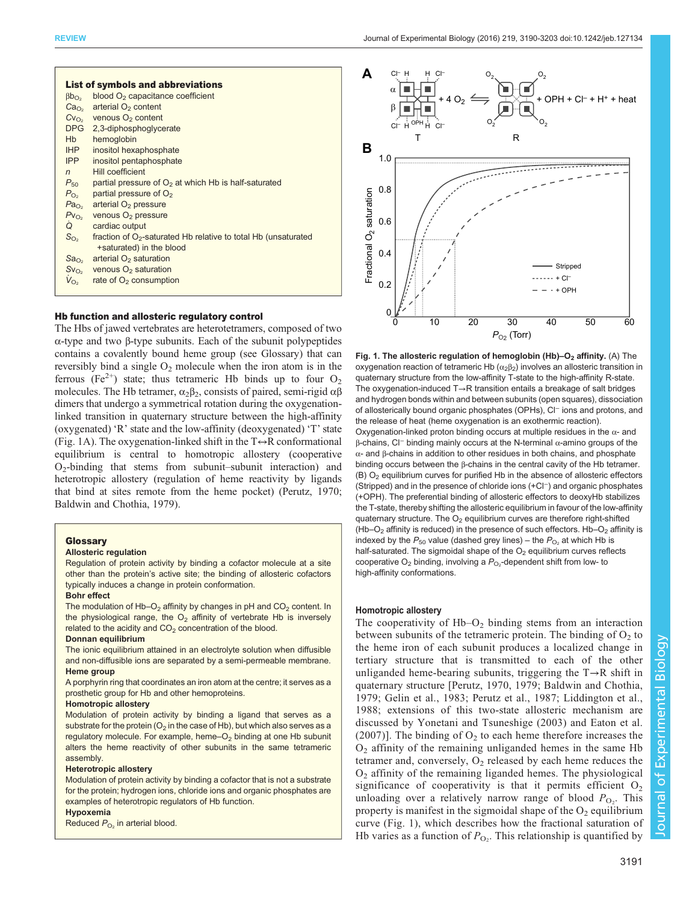<span id="page-1-0"></span>

| <b>List of symbols and abbreviations</b><br>blood $O2$ capacitance coefficient<br>$\beta b_{\Omega_2}$ |                                                                            |
|--------------------------------------------------------------------------------------------------------|----------------------------------------------------------------------------|
|                                                                                                        | arterial O <sub>2</sub> content                                            |
| Ca <sub>O<sub>2</sub></sub>                                                                            |                                                                            |
|                                                                                                        | $Cv_{O_2}$ venous $O_2$ content                                            |
|                                                                                                        | DPG 2,3-diphosphoglycerate                                                 |
| Hb                                                                                                     | hemoglobin                                                                 |
| IHP                                                                                                    | inositol hexaphosphate                                                     |
| IPP                                                                                                    | inositol pentaphosphate                                                    |
| $\overline{n}$                                                                                         | Hill coefficient                                                           |
| $P_{50}$                                                                                               | partial pressure of $O2$ at which Hb is half-saturated                     |
| $P_{O2}$                                                                                               | partial pressure of $O2$                                                   |
| Pa <sub>O2</sub>                                                                                       | arterial $O2$ pressure                                                     |
| $PV_{O2}$                                                                                              | venous $O2$ pressure                                                       |
| Q                                                                                                      | cardiac output                                                             |
| $S_{O2}$                                                                                               | fraction of O <sub>2</sub> -saturated Hb relative to total Hb (unsaturated |
|                                                                                                        | +saturated) in the blood                                                   |
| Sa <sub>O2</sub>                                                                                       | arterial $O2$ saturation                                                   |
| $Sv_{O2}$                                                                                              | venous $O2$ saturation                                                     |
| $V_{O_2}$                                                                                              | rate of $O2$ consumption                                                   |
|                                                                                                        |                                                                            |

## Hb function and allosteric regulatory control

The Hbs of jawed vertebrates are heterotetramers, composed of two α-type and two β-type subunits. Each of the subunit polypeptides contains a covalently bound heme group (see Glossary) that can reversibly bind a single  $O_2$  molecule when the iron atom is in the ferrous (Fe<sup>2+</sup>) state; thus tetrameric Hb binds up to four  $O_2$ molecules. The Hb tetramer,  $\alpha_2\beta_2$ , consists of paired, semi-rigid  $\alpha\beta$ dimers that undergo a symmetrical rotation during the oxygenationlinked transition in quaternary structure between the high-affinity (oxygenated) 'R' state and the low-affinity (deoxygenated) 'T' state (Fig. 1A). The oxygenation-linked shift in the  $T \leftrightarrow R$  conformational equilibrium is central to homotropic allostery (cooperative  $O_2$ -binding that stems from subunit–subunit interaction) and heterotropic allostery (regulation of heme reactivity by ligands that bind at sites remote from the heme pocket) ([Perutz, 1970](#page-12-0); [Baldwin and Chothia, 1979\)](#page-11-0).

#### **Glossary**

#### Allosteric regulation

Regulation of protein activity by binding a cofactor molecule at a site other than the protein's active site; the binding of allosteric cofactors typically induces a change in protein conformation.

## Bohr effect

The modulation of  $Hb-O<sub>2</sub>$  affinity by changes in pH and  $CO<sub>2</sub>$  content. In the physiological range, the  $O<sub>2</sub>$  affinity of vertebrate Hb is inversely related to the acidity and  $CO<sub>2</sub>$  concentration of the blood.

## Donnan equilibrium

The ionic equilibrium attained in an electrolyte solution when diffusible and non-diffusible ions are separated by a semi-permeable membrane. Heme group

A porphyrin ring that coordinates an iron atom at the centre; it serves as a prosthetic group for Hb and other hemoproteins.

## Homotropic allostery

Modulation of protein activity by binding a ligand that serves as a substrate for the protein ( $O<sub>2</sub>$  in the case of Hb), but which also serves as a regulatory molecule. For example, heme-O<sub>2</sub> binding at one Hb subunit alters the heme reactivity of other subunits in the same tetrameric assembly.

#### Heterotropic allostery

Modulation of protein activity by binding a cofactor that is not a substrate for the protein; hydrogen ions, chloride ions and organic phosphates are examples of heterotropic regulators of Hb function.

Hypoxemia Reduced  $P_{\text{O}_2}$  in arterial blood.



Fig. 1. The allosteric regulation of hemoglobin (Hb)- $O<sub>2</sub>$  affinity. (A) The oxygenation reaction of tetrameric Hb  $(α<sub>2</sub>β<sub>2</sub>)$  involves an allosteric transition in quaternary structure from the low-affinity T-state to the high-affinity R-state. The oxygenation-induced T→R transition entails a breakage of salt bridges and hydrogen bonds within and between subunits (open squares), dissociation of allosterically bound organic phosphates (OPHs), Cl<sup>−</sup> ions and protons, and the release of heat (heme oxygenation is an exothermic reaction). Oxygenation-linked proton binding occurs at multiple residues in the  $\alpha$ - and β-chains, Cl<sup>−</sup> binding mainly occurs at the N-terminal α-amino groups of the α- and β-chains in addition to other residues in both chains, and phosphate binding occurs between the β-chains in the central cavity of the Hb tetramer. (B)  $O<sub>2</sub>$  equilibrium curves for purified Hb in the absence of allosteric effectors (Stripped) and in the presence of chloride ions (+Cl−) and organic phosphates (+OPH). The preferential binding of allosteric effectors to deoxyHb stabilizes the T-state, thereby shifting the allosteric equilibrium in favour of the low-affinity quaternary structure. The  $O_2$  equilibrium curves are therefore right-shifted (Hb–O<sub>2</sub> affinity is reduced) in the presence of such effectors. Hb–O<sub>2</sub> affinity is indexed by the  $P_{50}$  value (dashed grey lines) – the  $P_{O_2}$  at which Hb is half-saturated. The sigmoidal shape of the  $O<sub>2</sub>$  equilibrium curves reflects cooperative  $O_2$  binding, involving a  $P_{O_2}$ -dependent shift from low- to high-affinity conformations.

#### Homotropic allostery

The cooperativity of  $Hb-O<sub>2</sub>$  binding stems from an interaction between subunits of the tetrameric protein. The binding of  $O<sub>2</sub>$  to the heme iron of each subunit produces a localized change in tertiary structure that is transmitted to each of the other unliganded heme-bearing subunits, triggering the T→R shift in quaternary structure [[Perutz, 1970,](#page-12-0) [1979;](#page-13-0) [Baldwin and Chothia,](#page-11-0) [1979;](#page-11-0) [Gelin et al., 1983;](#page-12-0) [Perutz et al., 1987](#page-13-0); [Liddington et al.,](#page-12-0) [1988;](#page-12-0) extensions of this two-state allosteric mechanism are discussed by [Yonetani and Tsuneshige \(2003\)](#page-13-0) and [Eaton et al.](#page-12-0) [\(2007\)](#page-12-0)]. The binding of  $O_2$  to each heme therefore increases the O2 affinity of the remaining unliganded hemes in the same Hb tetramer and, conversely,  $O_2$  released by each heme reduces the  $O<sub>2</sub>$  affinity of the remaining liganded hemes. The physiological significance of cooperativity is that it permits efficient  $O_2$ unloading over a relatively narrow range of blood  $P_{\text{O}_2}$ . This property is manifest in the sigmoidal shape of the  $O_2$  equilibrium curve (Fig. 1), which describes how the fractional saturation of Hb varies as a function of  $P_{\text{O}_2}$ . This relationship is quantified by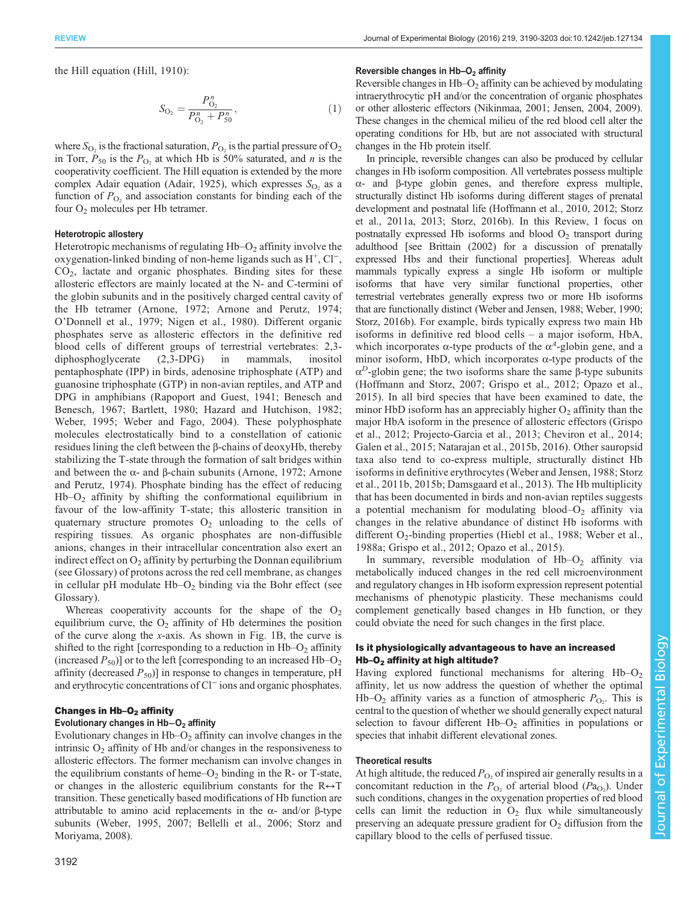REVIEW Journal of Experimental Biology (2016) 219, 3190-3203 doi:10.1242/jeb.127134

the Hill equation [\(Hill, 1910](#page-12-0)):

$$
S_{\mathcal{O}_2} = \frac{P_{\mathcal{O}_2}^n}{P_{\mathcal{O}_2}^n + P_{50}^n},\tag{1}
$$

where  $S_{\text{O}_2}$  is the fractional saturation,  $P_{\text{O}_2}$  is the partial pressure of  $O_2$ in Torr,  $P_{50}$  is the  $P_{\text{O}_2}$  at which Hb is 50% saturated, and *n* is the cooperativity coefficient. The Hill equation is extended by the more complex Adair equation ([Adair, 1925\)](#page-11-0), which expresses  $S_{\text{O}_2}$  as a function of  $P_{\text{O}_2}$  and association constants for binding each of the four O<sub>2</sub> molecules per Hb tetramer.

## Heterotropic allostery

Heterotropic mechanisms of regulating  $Hb-O<sub>2</sub>$  affinity involve the oxygenation-linked binding of non-heme ligands such as H+, Cl<sup>−</sup>,  $CO<sub>2</sub>$ , lactate and organic phosphates. Binding sites for these allosteric effectors are mainly located at the N- and C-termini of the globin subunits and in the positively charged central cavity of the Hb tetramer ([Arnone, 1972](#page-11-0); [Arnone and Perutz, 1974](#page-11-0); O'[Donnell et al., 1979](#page-12-0); [Nigen et al., 1980](#page-12-0)). Different organic phosphates serve as allosteric effectors in the definitive red blood cells of different groups of terrestrial vertebrates: 2,3 diphosphoglycerate (2,3-DPG) in mammals, inositol pentaphosphate (IPP) in birds, adenosine triphosphate (ATP) and guanosine triphosphate (GTP) in non-avian reptiles, and ATP and DPG in amphibians [\(Rapoport and Guest, 1941](#page-13-0); [Benesch and](#page-11-0) [Benesch, 1967; Bartlett, 1980](#page-11-0); [Hazard and Hutchison, 1982](#page-12-0); [Weber, 1995](#page-13-0); [Weber and Fago, 2004](#page-13-0)). These polyphosphate molecules electrostatically bind to a constellation of cationic residues lining the cleft between the β-chains of deoxyHb, thereby stabilizing the T-state through the formation of salt bridges within and between the α- and β-chain subunits [\(Arnone, 1972; Arnone](#page-11-0) [and Perutz, 1974\)](#page-11-0). Phosphate binding has the effect of reducing  $Hb-O<sub>2</sub>$  affinity by shifting the conformational equilibrium in favour of the low-affinity T-state; this allosteric transition in quaternary structure promotes  $O_2$  unloading to the cells of respiring tissues. As organic phosphates are non-diffusible anions, changes in their intracellular concentration also exert an indirect effect on  $O<sub>2</sub>$  affinity by perturbing the Donnan equilibrium (see Glossary) of protons across the red cell membrane, as changes in cellular pH modulate  $Hb-O<sub>2</sub>$  binding via the Bohr effect (see Glossary).

Whereas cooperativity accounts for the shape of the  $O<sub>2</sub>$ equilibrium curve, the  $O<sub>2</sub>$  affinity of Hb determines the position of the curve along the x-axis. As shown in [Fig. 1](#page-1-0)B, the curve is shifted to the right [corresponding to a reduction in  $Hb-O<sub>2</sub>$  affinity (increased  $P_{50}$ )] or to the left [corresponding to an increased Hb–O<sub>2</sub> affinity (decreased  $P_{50}$ )] in response to changes in temperature, pH and erythrocytic concentrations of Cl<sup>−</sup> ions and organic phosphates.

## Changes in  $Hb-O<sub>2</sub>$  affinity

## Evolutionary changes in Hb−O2 affinity

Evolutionary changes in  $Hb-O<sub>2</sub>$  affinity can involve changes in the intrinsic  $O_2$  affinity of Hb and/or changes in the responsiveness to allosteric effectors. The former mechanism can involve changes in the equilibrium constants of heme– $O<sub>2</sub>$  binding in the R- or T-state, or changes in the allosteric equilibrium constants for the  $R \leftrightarrow T$ transition. These genetically based modifications of Hb function are attributable to amino acid replacements in the α- and/or β-type subunits ([Weber, 1995, 2007;](#page-13-0) [Bellelli et al., 2006;](#page-11-0) [Storz and](#page-13-0) [Moriyama, 2008](#page-13-0)).

#### Reversible changes in  $Hb-O<sub>2</sub>$  affinity

Reversible changes in  $Hb-O<sub>2</sub>$  affinity can be achieved by modulating intraerythrocytic pH and/or the concentration of organic phosphates or other allosteric effectors [\(Nikinmaa, 2001; Jensen, 2004](#page-12-0), [2009\)](#page-12-0). These changes in the chemical milieu of the red blood cell alter the operating conditions for Hb, but are not associated with structural changes in the Hb protein itself.

In principle, reversible changes can also be produced by cellular changes in Hb isoform composition. All vertebrates possess multiple α- and β-type globin genes, and therefore express multiple, structurally distinct Hb isoforms during different stages of prenatal development and postnatal life [\(Hoffmann et al., 2010](#page-12-0), [2012](#page-12-0); [Storz](#page-13-0) [et al., 2011a](#page-13-0), [2013](#page-13-0); [Storz, 2016b\)](#page-13-0). In this Review, I focus on postnatally expressed Hb isoforms and blood  $O<sub>2</sub>$  transport during adulthood [see [Brittain \(2002\)](#page-11-0) for a discussion of prenatally expressed Hbs and their functional properties]. Whereas adult mammals typically express a single Hb isoform or multiple isoforms that have very similar functional properties, other terrestrial vertebrates generally express two or more Hb isoforms that are functionally distinct ([Weber and Jensen, 1988](#page-13-0); [Weber, 1990](#page-13-0); [Storz, 2016b](#page-13-0)). For example, birds typically express two main Hb isoforms in definitive red blood cells – a major isoform, HbA, which incorporates  $\alpha$ -type products of the  $\alpha$ <sup>4</sup>-globin gene, and a minor isoform, HbD, which incorporates  $\alpha$ -type products of the  $α<sup>D</sup>$ -globin gene; the two isoforms share the same β-type subunits [\(Hoffmann and Storz, 2007; Grispo et al., 2012; Opazo et al.,](#page-12-0) [2015](#page-12-0)). In all bird species that have been examined to date, the minor HbD isoform has an appreciably higher  $O_2$  affinity than the major HbA isoform in the presence of allosteric effectors ([Grispo](#page-12-0) [et al., 2012;](#page-12-0) [Projecto-Garcia et al., 2013](#page-13-0); [Cheviron et al., 2014](#page-11-0); [Galen et al., 2015; Natarajan et al., 2015b](#page-12-0), [2016](#page-12-0)). Other sauropsid taxa also tend to co-express multiple, structurally distinct Hb isoforms in definitive erythrocytes ([Weber and Jensen, 1988](#page-13-0); [Storz](#page-13-0) [et al., 2011b](#page-13-0), [2015b;](#page-13-0) [Damsgaard et al., 2013\)](#page-11-0). The Hb multiplicity that has been documented in birds and non-avian reptiles suggests a potential mechanism for modulating blood– $O_2$  affinity via changes in the relative abundance of distinct Hb isoforms with different  $O_2$ -binding properties ([Hiebl et al., 1988](#page-12-0); [Weber et al.,](#page-13-0) [1988a;](#page-13-0) [Grispo et al., 2012](#page-12-0); [Opazo et al., 2015](#page-12-0)).

In summary, reversible modulation of  $Hb-O<sub>2</sub>$  affinity via metabolically induced changes in the red cell microenvironment and regulatory changes in Hb isoform expression represent potential mechanisms of phenotypic plasticity. These mechanisms could complement genetically based changes in Hb function, or they could obviate the need for such changes in the first place.

# Is it physiologically advantageous to have an increased  $Hb-O<sub>2</sub>$  affinity at high altitude?

Having explored functional mechanisms for altering  $Hb-O<sub>2</sub>$ affinity, let us now address the question of whether the optimal Hb–O<sub>2</sub> affinity varies as a function of atmospheric  $P_{\text{O}_2}$ . This is central to the question of whether we should generally expect natural selection to favour different  $Hb-O<sub>2</sub>$  affinities in populations or species that inhabit different elevational zones.

# Theoretical results

At high altitude, the reduced  $P_{\Omega_2}$  of inspired air generally results in a concomitant reduction in the  $P_{\text{O}_2}$  of arterial blood ( $P_{\text{O}_2}$ ). Under such conditions, changes in the oxygenation properties of red blood cells can limit the reduction in  $O_2$  flux while simultaneously preserving an adequate pressure gradient for  $O<sub>2</sub>$  diffusion from the capillary blood to the cells of perfused tissue.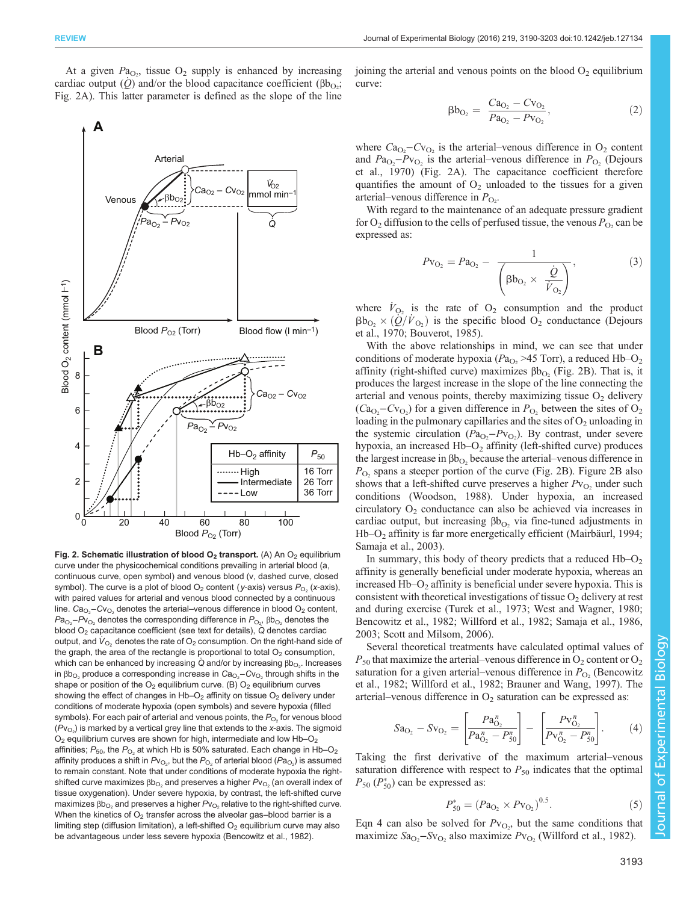

At a given  $Pa<sub>O<sub>2</sub></sub>$ , tissue  $O<sub>2</sub>$  supply is enhanced by increasing cardiac output  $(Q)$  and/or the blood capacitance coefficient ( $\beta b_{Q}$ ); Fig. 2A). This latter parameter is defined as the slope of the line

Fig. 2. Schematic illustration of blood  $O<sub>2</sub>$  transport. (A) An  $O<sub>2</sub>$  equilibrium curve under the physicochemical conditions prevailing in arterial blood (a, continuous curve, open symbol) and venous blood (v, dashed curve, closed symbol). The curve is a plot of blood  $O_2$  content (y-axis) versus  $P_{O_2}$  (x-axis), with paired values for arterial and venous blood connected by a continuous line.  $\text{Ca}_{\text{O}_2}\text{-}\text{Cv}_{\text{O}_2}$  denotes the arterial–venous difference in blood  $\text{O}_2$  content,  $\mathsf{Pa}_{\text{O}_2}\text{-}\mathsf{P} \text{v}_{\text{O}_2}$  denotes the corresponding difference in  $\mathsf{P}_{\text{O}_2}$ , βb $_{\text{O}_2}$  denotes the blood  $O_2$  capacitance coefficient (see text for details),  $\dot{Q}$  denotes cardiac output, and  $V_{\Omega_2}$  denotes the rate of O<sub>2</sub> consumption. On the right-hand side of the graph, the area of the rectangle is proportional to total  $O<sub>2</sub>$  consumption, which can be enhanced by increasing Q and/or by increasing βb $_{\mathrm{O}_2}$ . Increases in βb $_{\mathrm{O}_2}$  produce a corresponding increase in  $\mathrm{Ca}_{\mathrm{O}_2}\text{--} \mathrm{C}\mathrm{V}_{\mathrm{O}_2}$  through shifts in the shape or position of the  $O_2$  equilibrium curve. (B)  $O_2$  equilibrium curves showing the effect of changes in  $Hb-O<sub>2</sub>$  affinity on tissue  $O<sub>2</sub>$  delivery under conditions of moderate hypoxia (open symbols) and severe hypoxia (filled symbols). For each pair of arterial and venous points, the  $P_{\text{O}_2}$  for venous blood ( $\mathcal{P}\mathsf{v}_{\mathsf{O}_2}$ ) is marked by a vertical grey line that extends to the x-axis. The sigmoid  $O_2$  equilibrium curves are shown for high, intermediate and low Hb– $O_2$ affinities;  $P_{50}$ , the  $P_{O_2}$  at which Hb is 50% saturated. Each change in Hb–O<sub>2</sub> affinity produces a shift in  $P\mathsf{v}_{\mathsf{O}_2}$ , but the  $P_{\mathsf{O}_2}$  of arterial blood ( $P\mathsf{a}_{\mathsf{O}_2}$ ) is assumed to remain constant. Note that under conditions of moderate hypoxia the rightshifted curve maximizes  $\beta b_{\text{O}_2}$  and preserves a higher  $Pv_{\text{O}_2}$  (an overall index of tissue oxygenation). Under severe hypoxia, by contrast, the left-shifted curve maximizes  $\beta b_{O_2}$  and preserves a higher  $Pv_{O_2}$  relative to the right-shifted curve. When the kinetics of  $O_2$  transfer across the alveolar gas-blood barrier is a limiting step (diffusion limitation), a left-shifted  $O<sub>2</sub>$  equilibrium curve may also be advantageous under less severe hypoxia [\(Bencowitz et al., 1982](#page-11-0)).

joining the arterial and venous points on the blood  $O_2$  equilibrium curve:

$$
\beta b_{\text{O}_2} = \frac{Ca_{\text{O}_2} - Cv_{\text{O}_2}}{Pa_{\text{O}_2} - Pv_{\text{O}_2}},\tag{2}
$$

where  $Ca_{O_2}-Cv_{O_2}$  is the arterial–venous difference in  $O_2$  content and  $Pa_{\text{O}_2}$ - $P_{\text{V}_{\text{O}_2}}$  is the arterial-venous difference in  $P_{\text{O}_2}$  [\(Dejours](#page-11-0) [et al., 1970](#page-11-0)) (Fig. 2A). The capacitance coefficient therefore quantifies the amount of  $O_2$  unloaded to the tissues for a given arterial–venous difference in  $P_{\text{O}_2}$ .

With regard to the maintenance of an adequate pressure gradient for  $O_2$  diffusion to the cells of perfused tissue, the venous  $P_O$  can be expressed as:

$$
P_{\text{V}_{\text{O}_2}} = Pa_{\text{O}_2} - \frac{1}{\left(\beta b_{\text{O}_2} \times \frac{\dot{Q}}{\dot{V}_{\text{O}_2}}\right)},\tag{3}
$$

where  $\dot{V}_{\text{O}_2}$  is the rate of  $\text{O}_2$  consumption and the product  $\beta b_{\text{O}_2} \times (\dot{Q}/\dot{V}_{\text{O}_2})$  is the specific blood  $O_2$  conductance [\(Dejours](#page-11-0) [et al., 1970; Bouverot, 1985\)](#page-11-0).

With the above relationships in mind, we can see that under conditions of moderate hypoxia ( $Pa<sub>O<sub>2</sub></sub>$  >45 Torr), a reduced Hb–O<sub>2</sub> affinity (right-shifted curve) maximizes  $\beta b_{\text{O}_2}$  (Fig. 2B). That is, it produces the largest increase in the slope of the line connecting the arterial and venous points, thereby maximizing tissue  $O_2$  delivery  $(Ca<sub>O<sub>2</sub></sub> - Cv<sub>O<sub>2</sub></sub>)$  for a given difference in  $P<sub>O<sub>2</sub></sub>$  between the sites of O<sub>2</sub> loading in the pulmonary capillaries and the sites of  $O_2$  unloading in the systemic circulation  $(Pa_{O_2} - Pv_{O_2})$ . By contrast, under severe hypoxia, an increased  $Hb-O<sub>2</sub>$  affinity (left-shifted curve) produces the largest increase in  $\beta b_{\rm O}$ , because the arterial–venous difference in  $P_{\text{O}_2}$  spans a steeper portion of the curve (Fig. 2B). Figure 2B also shows that a left-shifted curve preserves a higher  $Pv_{\text{O}_2}$  under such conditions [\(Woodson, 1988](#page-13-0)). Under hypoxia, an increased circulatory  $O_2$  conductance can also be achieved via increases in cardiac output, but increasing  $\beta b_{\text{O}_2}$  via fine-tuned adjustments in Hb–O2 affinity is far more energetically efficient [\(Mairbäurl, 1994](#page-12-0); [Samaja et al., 2003\)](#page-13-0).

In summary, this body of theory predicts that a reduced  $Hb-O<sub>2</sub>$ affinity is generally beneficial under moderate hypoxia, whereas an increased  $Hb-O<sub>2</sub>$  affinity is beneficial under severe hypoxia. This is consistent with theoretical investigations of tissue  $O_2$  delivery at rest and during exercise ([Turek et al., 1973; West and Wagner, 1980](#page-13-0); [Bencowitz et al., 1982](#page-11-0); [Willford et al., 1982](#page-13-0); [Samaja et al., 1986,](#page-13-0) [2003; Scott and Milsom, 2006\)](#page-13-0).

Several theoretical treatments have calculated optimal values of  $P_{50}$  that maximize the arterial–venous difference in  $O_2$  content or  $O_2$ saturation for a given arterial–venous difference in  $P_{\text{O}_2}$  ([Bencowitz](#page-11-0) [et al., 1982](#page-11-0); [Willford et al., 1982](#page-13-0); [Brauner and Wang, 1997\)](#page-11-0). The arterial–venous difference in  $O_2$  saturation can be expressed as:

$$
Sa_{O_2} - Sv_{O_2} = \left[\frac{Pa_{O_2}^n}{Pa_{O_2}^n - P_{50}^n}\right] - \left[\frac{Pv_{O_2}^n}{Pv_{O_2}^n - P_{50}^n}\right].
$$
 (4)

Taking the first derivative of the maximum arterial–venous saturation difference with respect to  $P_{50}$  indicates that the optimal  $P_{50}$   $(P_{50}^*)$  can be expressed as:

$$
P_{50}^* = (Pa_{O_2} \times Pv_{O_2})^{0.5}.
$$
 (5)

Eqn 4 can also be solved for  $Pv_{O_2}$ , but the same conditions that maximize  $Sa_{O_2}$ – $Sv_{O_2}$  also maximize  $Pv_{O_2}$  ([Willford et al., 1982\)](#page-13-0).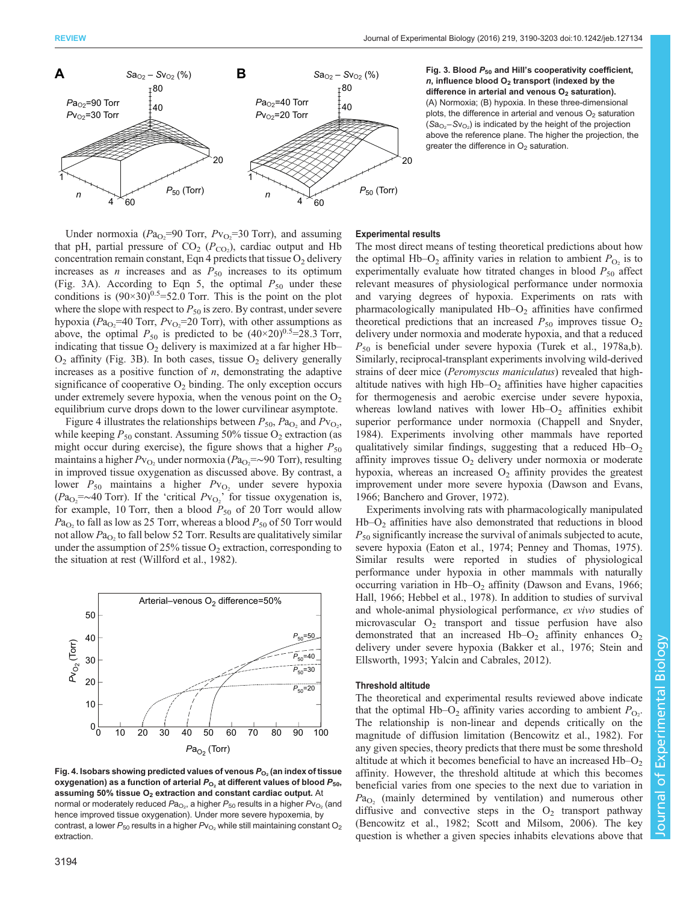

 $Sa_{O_2} - Sy_{O_2}$  (%) Fig. 3. Blood  $P_{50}$  and Hill's cooperativity coefficient,  $n$ , influence blood  $O<sub>2</sub>$  transport (indexed by the difference in arterial and venous  $O<sub>2</sub>$  saturation). (A) Normoxia; (B) hypoxia. In these three-dimensional plots, the difference in arterial and venous  $O<sub>2</sub>$  saturation  $(Sa_{O_2} - Sv_{O_2})$  is indicated by the height of the projection above the reference plane. The higher the projection, the greater the difference in  $O<sub>2</sub>$  saturation.

# Under normoxia ( $Pa_{\text{O}_2}$ =90 Torr,  $P_{\text{V}_{\text{O}_2}}$ =30 Torr), and assuming that pH, partial pressure of  $CO_2$  ( $P_{CO_2}$ ), cardiac output and Hb concentration remain constant, Eqn 4 predicts that tissue  $O_2$  delivery increases as *n* increases and as  $P_{50}$  increases to its optimum (Fig. 3A). According to Eqn 5, the optimal  $P_{50}$  under these conditions is  $(90\times30)^{0.5}$ =52.0 Torr. This is the point on the plot where the slope with respect to  $P_{50}$  is zero. By contrast, under severe hypoxia ( $Pa_{O_2}$ =40 Torr,  $Pv_{O_2}$ =20 Torr), with other assumptions as above, the optimal  $P_{50}$  is predicted to be  $(40\times20)^{0.5}$ =28.3 Torr, indicating that tissue  $O_2$  delivery is maximized at a far higher Hb–  $O_2$  affinity (Fig. 3B). In both cases, tissue  $O_2$  delivery generally increases as a positive function of  $n$ , demonstrating the adaptive significance of cooperative  $O_2$  binding. The only exception occurs under extremely severe hypoxia, when the venous point on the  $O<sub>2</sub>$ equilibrium curve drops down to the lower curvilinear asymptote.

Figure 4 illustrates the relationships between  $P_{50}$ ,  $Pa_{O_2}$  and  $P_{VO_2}$ , while keeping  $P_{50}$  constant. Assuming 50% tissue  $O_2$  extraction (as might occur during exercise), the figure shows that a higher  $P_{50}$ maintains a higher  $P_{\rm{V_{O_2}}}$  under normoxia ( $P_{\rm{d_{O_2}}} = \sim 90$  Torr), resulting in improved tissue oxygenation as discussed above. By contrast, a lower  $P_{50}$  maintains a higher  $P_{VO_2}$  under severe hypoxia  $(Pa_{O_2} = \sim 40$  Torr). If the 'critical  $Pv_{O_2}$ ' for tissue oxygenation is, for example, 10 Torr, then a blood  $P_{50}$  of 20 Torr would allow  $Pa<sub>O</sub>$ , to fall as low as 25 Torr, whereas a blood  $P<sub>50</sub>$  of 50 Torr would not allow  $Pa<sub>O<sub>2</sub></sub>$  to fall below 52 Torr. Results are qualitatively similar under the assumption of 25% tissue  $O_2$  extraction, corresponding to the situation at rest ([Willford et al., 1982\)](#page-13-0).



Fig. 4. Isobars showing predicted values of venous  $P_{O_2}$  (an index of tissue oxygenation) as a function of arterial  $P_{\text{O}_2}$  at different values of blood  $P_{50}$ , assuming 50% tissue  $O<sub>2</sub>$  extraction and constant cardiac output. At normal or moderately reduced  $\mathsf{Pa}_{\mathsf{O}_2}$ , a higher  $\mathsf{P}_{50}$  results in a higher  $\mathsf{P}\mathsf{v}_{\mathsf{O}_2}$  (and hence improved tissue oxygenation). Under more severe hypoxemia, by contrast, a lower  $P_{50}$  results in a higher  $P_{\nu_{O_2}}$  while still maintaining constant O<sub>2</sub> extraction.

# Experimental results

The most direct means of testing theoretical predictions about how the optimal Hb–O<sub>2</sub> affinity varies in relation to ambient  $P_{\text{O}_2}$  is to experimentally evaluate how titrated changes in blood  $P_{50}$  affect relevant measures of physiological performance under normoxia and varying degrees of hypoxia. Experiments on rats with pharmacologically manipulated  $Hb-O<sub>2</sub>$  affinities have confirmed theoretical predictions that an increased  $P_{50}$  improves tissue  $O_2$ delivery under normoxia and moderate hypoxia, and that a reduced  $P_{50}$  is beneficial under severe hypoxia [\(Turek et al., 1978a](#page-13-0),[b\)](#page-13-0). Similarly, reciprocal-transplant experiments involving wild-derived strains of deer mice (*Peromyscus maniculatus*) revealed that highaltitude natives with high  $Hb-O<sub>2</sub>$  affinities have higher capacities for thermogenesis and aerobic exercise under severe hypoxia, whereas lowland natives with lower  $Hb-O<sub>2</sub>$  affinities exhibit superior performance under normoxia [\(Chappell and Snyder,](#page-11-0) [1984\)](#page-11-0). Experiments involving other mammals have reported qualitatively similar findings, suggesting that a reduced  $Hb-O<sub>2</sub>$ affinity improves tissue  $O_2$  delivery under normoxia or moderate hypoxia, whereas an increased  $O<sub>2</sub>$  affinity provides the greatest improvement under more severe hypoxia [\(Dawson and Evans,](#page-11-0) [1966; Banchero and Grover, 1972](#page-11-0)).

Experiments involving rats with pharmacologically manipulated  $Hb-O<sub>2</sub>$  affinities have also demonstrated that reductions in blood  $P_{50}$  significantly increase the survival of animals subjected to acute, severe hypoxia ([Eaton et al., 1974; Penney and Thomas, 1975\)](#page-12-0). Similar results were reported in studies of physiological performance under hypoxia in other mammals with naturally occurring variation in  $Hb-O<sub>2</sub>$  affinity [\(Dawson and Evans, 1966](#page-11-0); [Hall, 1966](#page-12-0); [Hebbel et al., 1978](#page-12-0)). In addition to studies of survival and whole-animal physiological performance, ex vivo studies of microvascular  $O_2$  transport and tissue perfusion have also demonstrated that an increased Hb– $O_2$  affinity enhances  $O_2$ delivery under severe hypoxia [\(Bakker et al., 1976;](#page-11-0) [Stein and](#page-13-0) [Ellsworth, 1993; Yalcin and Cabrales, 2012\)](#page-13-0).

# Threshold altitude

The theoretical and experimental results reviewed above indicate that the optimal Hb–O<sub>2</sub> affinity varies according to ambient  $P_{\text{O}_2}$ . The relationship is non-linear and depends critically on the magnitude of diffusion limitation ([Bencowitz et al., 1982](#page-11-0)). For any given species, theory predicts that there must be some threshold altitude at which it becomes beneficial to have an increased  $Hb-O<sub>2</sub>$ affinity. However, the threshold altitude at which this becomes beneficial varies from one species to the next due to variation in  $Pa<sub>O2</sub>$  (mainly determined by ventilation) and numerous other diffusive and convective steps in the  $O_2$  transport pathway [\(Bencowitz et al., 1982;](#page-11-0) [Scott and Milsom, 2006](#page-13-0)). The key question is whether a given species inhabits elevations above that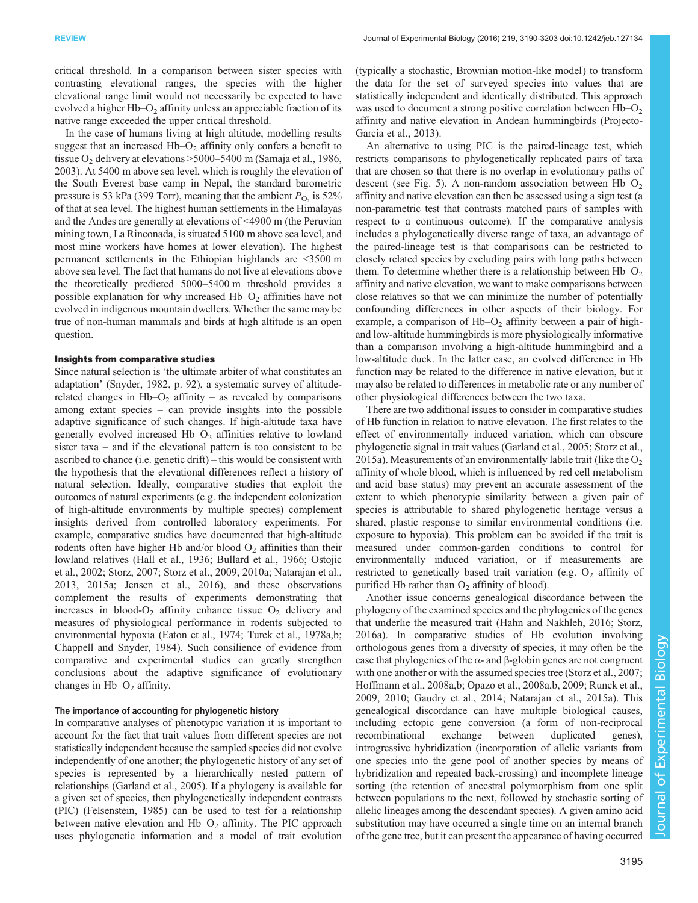critical threshold. In a comparison between sister species with contrasting elevational ranges, the species with the higher elevational range limit would not necessarily be expected to have evolved a higher  $Hb-O<sub>2</sub>$  affinity unless an appreciable fraction of its native range exceeded the upper critical threshold.

In the case of humans living at high altitude, modelling results suggest that an increased  $Hb-O<sub>2</sub>$  affinity only confers a benefit to tissue  $O_2$  delivery at elevations  $>5000-5400$  m ([Samaja et al., 1986,](#page-13-0) [2003](#page-13-0)). At 5400 m above sea level, which is roughly the elevation of the South Everest base camp in Nepal, the standard barometric pressure is 53 kPa (399 Torr), meaning that the ambient  $P_{\text{O}_2}$  is 52% of that at sea level. The highest human settlements in the Himalayas and the Andes are generally at elevations of <4900 m (the Peruvian mining town, La Rinconada, is situated 5100 m above sea level, and most mine workers have homes at lower elevation). The highest permanent settlements in the Ethiopian highlands are <3500 m above sea level. The fact that humans do not live at elevations above the theoretically predicted 5000–5400 m threshold provides a possible explanation for why increased  $Hb-O<sub>2</sub>$  affinities have not evolved in indigenous mountain dwellers. Whether the same may be true of non-human mammals and birds at high altitude is an open question.

## Insights from comparative studies

Since natural selection is 'the ultimate arbiter of what constitutes an adaptation' (Snyder, 1982, p. 92), a systematic survey of altituderelated changes in  $Hb-O<sub>2</sub>$  affinity – as revealed by comparisons among extant species – can provide insights into the possible adaptive significance of such changes. If high-altitude taxa have generally evolved increased  $Hb-O<sub>2</sub>$  affinities relative to lowland sister taxa – and if the elevational pattern is too consistent to be ascribed to chance (i.e. genetic drift) – this would be consistent with the hypothesis that the elevational differences reflect a history of natural selection. Ideally, comparative studies that exploit the outcomes of natural experiments (e.g. the independent colonization of high-altitude environments by multiple species) complement insights derived from controlled laboratory experiments. For example, comparative studies have documented that high-altitude rodents often have higher Hb and/or blood  $O<sub>2</sub>$  affinities than their lowland relatives ([Hall et al., 1936](#page-12-0); [Bullard et al., 1966;](#page-11-0) [Ostojic](#page-12-0) [et al., 2002](#page-12-0); [Storz, 2007; Storz et al., 2009, 2010a;](#page-13-0) [Natarajan et al.,](#page-12-0) [2013](#page-12-0), [2015a; Jensen et al., 2016\)](#page-12-0), and these observations complement the results of experiments demonstrating that increases in blood- $O_2$  affinity enhance tissue  $O_2$  delivery and measures of physiological performance in rodents subjected to environmental hypoxia [\(Eaton et al., 1974](#page-12-0); [Turek et al., 1978a](#page-13-0),[b](#page-13-0); [Chappell and Snyder, 1984](#page-11-0)). Such consilience of evidence from comparative and experimental studies can greatly strengthen conclusions about the adaptive significance of evolutionary changes in  $Hb-O<sub>2</sub>$  affinity.

### The importance of accounting for phylogenetic history

In comparative analyses of phenotypic variation it is important to account for the fact that trait values from different species are not statistically independent because the sampled species did not evolve independently of one another; the phylogenetic history of any set of species is represented by a hierarchically nested pattern of relationships [\(Garland et al., 2005](#page-12-0)). If a phylogeny is available for a given set of species, then phylogenetically independent contrasts (PIC) [\(Felsenstein, 1985\)](#page-12-0) can be used to test for a relationship between native elevation and  $Hb-O<sub>2</sub>$  affinity. The PIC approach uses phylogenetic information and a model of trait evolution

(typically a stochastic, Brownian motion-like model) to transform the data for the set of surveyed species into values that are statistically independent and identically distributed. This approach was used to document a strong positive correlation between  $Hb-O<sub>2</sub>$ affinity and native elevation in Andean hummingbirds ([Projecto-](#page-13-0)[Garcia et al., 2013](#page-13-0)).

An alternative to using PIC is the paired-lineage test, which restricts comparisons to phylogenetically replicated pairs of taxa that are chosen so that there is no overlap in evolutionary paths of descent (see [Fig. 5\)](#page-6-0). A non-random association between  $Hb-O<sub>2</sub>$ affinity and native elevation can then be assessed using a sign test (a non-parametric test that contrasts matched pairs of samples with respect to a continuous outcome). If the comparative analysis includes a phylogenetically diverse range of taxa, an advantage of the paired-lineage test is that comparisons can be restricted to closely related species by excluding pairs with long paths between them. To determine whether there is a relationship between  $Hb-O<sub>2</sub>$ affinity and native elevation, we want to make comparisons between close relatives so that we can minimize the number of potentially confounding differences in other aspects of their biology. For example, a comparison of  $Hb-O<sub>2</sub>$  affinity between a pair of highand low-altitude hummingbirds is more physiologically informative than a comparison involving a high-altitude hummingbird and a low-altitude duck. In the latter case, an evolved difference in Hb function may be related to the difference in native elevation, but it may also be related to differences in metabolic rate or any number of other physiological differences between the two taxa.

There are two additional issues to consider in comparative studies of Hb function in relation to native elevation. The first relates to the effect of environmentally induced variation, which can obscure phylogenetic signal in trait values [\(Garland et al., 2005;](#page-12-0) [Storz et al.,](#page-13-0) [2015a](#page-13-0)). Measurements of an environmentally labile trait (like the  $O_2$ ) affinity of whole blood, which is influenced by red cell metabolism and acid–base status) may prevent an accurate assessment of the extent to which phenotypic similarity between a given pair of species is attributable to shared phylogenetic heritage versus a shared, plastic response to similar environmental conditions (i.e. exposure to hypoxia). This problem can be avoided if the trait is measured under common-garden conditions to control for environmentally induced variation, or if measurements are restricted to genetically based trait variation (e.g.  $O_2$  affinity of purified Hb rather than  $O_2$  affinity of blood).

Another issue concerns genealogical discordance between the phylogeny of the examined species and the phylogenies of the genes that underlie the measured trait ([Hahn and Nakhleh, 2016;](#page-12-0) [Storz,](#page-13-0) [2016a](#page-13-0)). In comparative studies of Hb evolution involving orthologous genes from a diversity of species, it may often be the case that phylogenies of the  $\alpha$ - and  $\beta$ -globin genes are not congruent with one another or with the assumed species tree ([Storz et al., 2007](#page-13-0); [Hoffmann et al., 2008a](#page-12-0),[b](#page-12-0); [Opazo et al., 2008a,b](#page-12-0), [2009;](#page-12-0) [Runck et al.,](#page-13-0) [2009, 2010;](#page-13-0) [Gaudry et al., 2014](#page-12-0); [Natarajan et al., 2015a\)](#page-12-0). This genealogical discordance can have multiple biological causes, including ectopic gene conversion (a form of non-reciprocal recombinational exchange between duplicated genes), introgressive hybridization (incorporation of allelic variants from one species into the gene pool of another species by means of hybridization and repeated back-crossing) and incomplete lineage sorting (the retention of ancestral polymorphism from one split between populations to the next, followed by stochastic sorting of allelic lineages among the descendant species). A given amino acid substitution may have occurred a single time on an internal branch of the gene tree, but it can present the appearance of having occurred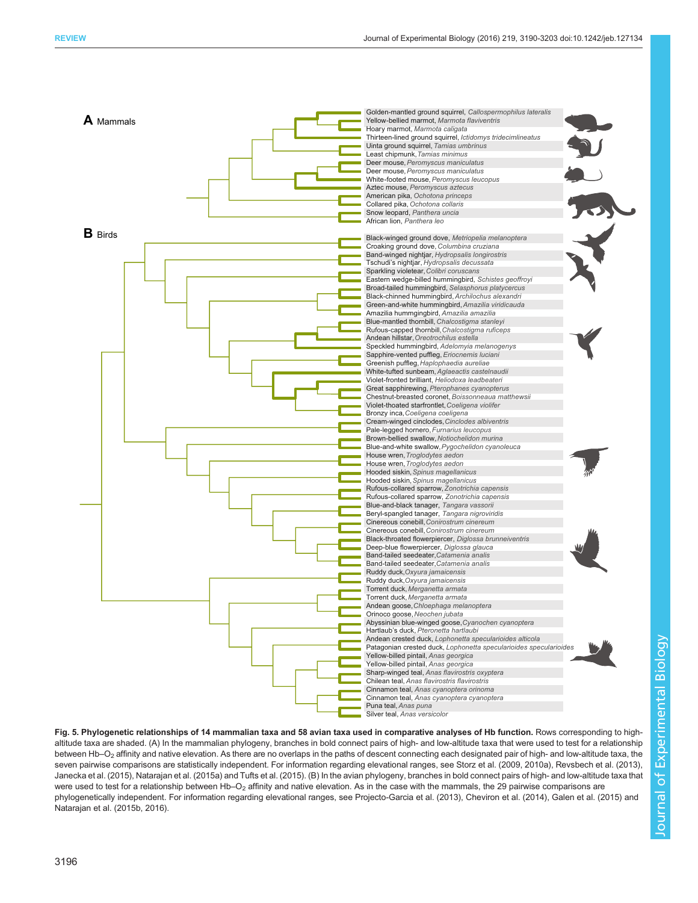<span id="page-6-0"></span>

Fig. 5. Phylogenetic relationships of 14 mammalian taxa and 58 avian taxa used in comparative analyses of Hb function. Rows corresponding to highaltitude taxa are shaded. (A) In the mammalian phylogeny, branches in bold connect pairs of high- and low-altitude taxa that were used to test for a relationship between Hb–O<sub>2</sub> affinity and native elevation. As there are no overlaps in the paths of descent connecting each designated pair of high- and low-altitude taxa, the seven pairwise comparisons are statistically independent. For information regarding elevational ranges, see [Storz et al. \(2009, 2010a](#page-13-0)), Revsbech [et al. \(2013\),](#page-13-0) [Janecka et al. \(2015\), Natarajan et al. \(2015a\)](#page-12-0) and [Tufts et al. \(2015\).](#page-13-0) (B) In the avian phylogeny, branches in bold connect pairs of high- and low-altitude taxa that were used to test for a relationship between Hb–O<sub>2</sub> affinity and native elevation. As in the case with the mammals, the 29 pairwise comparisons are phylogenetically independent. For information regarding elevational ranges, see [Projecto-Garcia et al. \(2013\),](#page-13-0) [Cheviron et al. \(2014\)](#page-11-0), [Galen et al. \(2015\)](#page-12-0) and [Natarajan et al. \(2015b](#page-12-0), [2016](#page-12-0)).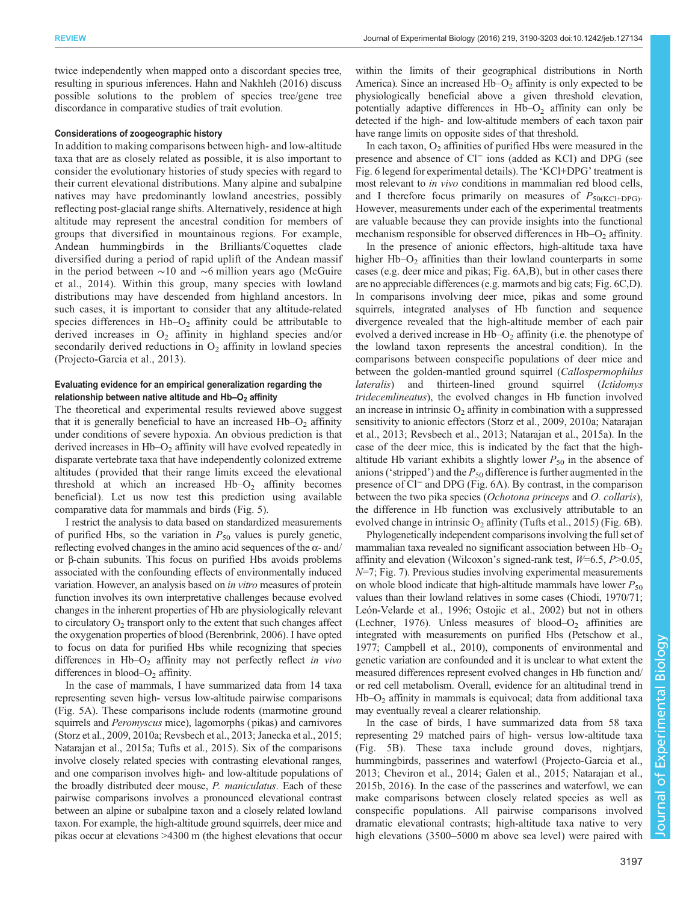twice independently when mapped onto a discordant species tree, resulting in spurious inferences. [Hahn and Nakhleh \(2016\)](#page-12-0) discuss possible solutions to the problem of species tree/gene tree discordance in comparative studies of trait evolution.

## Considerations of zoogeographic history

In addition to making comparisons between high- and low-altitude taxa that are as closely related as possible, it is also important to consider the evolutionary histories of study species with regard to their current elevational distributions. Many alpine and subalpine natives may have predominantly lowland ancestries, possibly reflecting post-glacial range shifts. Alternatively, residence at high altitude may represent the ancestral condition for members of groups that diversified in mountainous regions. For example, Andean hummingbirds in the Brilliants/Coquettes clade diversified during a period of rapid uplift of the Andean massif in the period between ∼10 and ∼6 million years ago ([McGuire](#page-12-0) [et al., 2014](#page-12-0)). Within this group, many species with lowland distributions may have descended from highland ancestors. In such cases, it is important to consider that any altitude-related species differences in  $Hb-O<sub>2</sub>$  affinity could be attributable to derived increases in  $O_2$  affinity in highland species and/or secondarily derived reductions in  $O_2$  affinity in lowland species [\(Projecto-Garcia et al., 2013\)](#page-13-0).

# Evaluating evidence for an empirical generalization regarding the relationship between native altitude and Hb-O<sub>2</sub> affinity

The theoretical and experimental results reviewed above suggest that it is generally beneficial to have an increased  $Hb-O<sub>2</sub>$  affinity under conditions of severe hypoxia. An obvious prediction is that derived increases in  $Hb-O<sub>2</sub>$  affinity will have evolved repeatedly in disparate vertebrate taxa that have independently colonized extreme altitudes ( provided that their range limits exceed the elevational threshold at which an increased  $Hb-O<sub>2</sub>$  affinity becomes beneficial). Let us now test this prediction using available comparative data for mammals and birds [\(Fig. 5\)](#page-6-0).

I restrict the analysis to data based on standardized measurements of purified Hbs, so the variation in  $P_{50}$  values is purely genetic, reflecting evolved changes in the amino acid sequences of the  $\alpha$ - and/ or β-chain subunits. This focus on purified Hbs avoids problems associated with the confounding effects of environmentally induced variation. However, an analysis based on in vitro measures of protein function involves its own interpretative challenges because evolved changes in the inherent properties of Hb are physiologically relevant to circulatory  $O<sub>2</sub>$  transport only to the extent that such changes affect the oxygenation properties of blood [\(Berenbrink, 2006\)](#page-11-0). I have opted to focus on data for purified Hbs while recognizing that species differences in  $Hb-O<sub>2</sub>$  affinity may not perfectly reflect in vivo differences in blood– $O<sub>2</sub>$  affinity.

In the case of mammals, I have summarized data from 14 taxa representing seven high- versus low-altitude pairwise comparisons [\(Fig. 5](#page-6-0)A). These comparisons include rodents (marmotine ground squirrels and *Peromyscus* mice), lagomorphs (pikas) and carnivores [\(Storz et al., 2009](#page-13-0), [2010a](#page-13-0); [Revsbech et al., 2013;](#page-13-0) [Janecka et al., 2015](#page-12-0); [Natarajan et al., 2015a](#page-12-0); [Tufts et al., 2015](#page-13-0)). Six of the comparisons involve closely related species with contrasting elevational ranges, and one comparison involves high- and low-altitude populations of the broadly distributed deer mouse, P. maniculatus. Each of these pairwise comparisons involves a pronounced elevational contrast between an alpine or subalpine taxon and a closely related lowland taxon. For example, the high-altitude ground squirrels, deer mice and pikas occur at elevations >4300 m (the highest elevations that occur within the limits of their geographical distributions in North America). Since an increased  $Hb-O<sub>2</sub>$  affinity is only expected to be physiologically beneficial above a given threshold elevation, potentially adaptive differences in  $Hb-O<sub>2</sub>$  affinity can only be detected if the high- and low-altitude members of each taxon pair have range limits on opposite sides of that threshold.

In each taxon,  $O<sub>2</sub>$  affinities of purified Hbs were measured in the presence and absence of Cl<sup>−</sup> ions (added as KCl) and DPG (see [Fig. 6](#page-8-0) legend for experimental details). The 'KCl+DPG' treatment is most relevant to in vivo conditions in mammalian red blood cells, and I therefore focus primarily on measures of  $P_{50(KCl+DPG)}$ . However, measurements under each of the experimental treatments are valuable because they can provide insights into the functional mechanism responsible for observed differences in  $Hb-O<sub>2</sub>$  affinity.

In the presence of anionic effectors, high-altitude taxa have higher  $Hb-O<sub>2</sub>$  affinities than their lowland counterparts in some cases (e.g. deer mice and pikas; [Fig. 6A](#page-8-0),B), but in other cases there are no appreciable differences (e.g. marmots and big cats; [Fig. 6](#page-8-0)C,D). In comparisons involving deer mice, pikas and some ground squirrels, integrated analyses of Hb function and sequence divergence revealed that the high-altitude member of each pair evolved a derived increase in  $Hb-O<sub>2</sub>$  affinity (i.e. the phenotype of the lowland taxon represents the ancestral condition). In the comparisons between conspecific populations of deer mice and between the golden-mantled ground squirrel (Callospermophilus lateralis) and thirteen-lined ground squirrel (Ictidomys tridecemlineatus), the evolved changes in Hb function involved an increase in intrinsic  $O<sub>2</sub>$  affinity in combination with a suppressed sensitivity to anionic effectors ([Storz et al., 2009](#page-13-0), [2010a;](#page-13-0) [Natarajan](#page-12-0) [et al., 2013;](#page-12-0) [Revsbech et al., 2013](#page-13-0); [Natarajan et al., 2015a\)](#page-12-0). In the case of the deer mice, this is indicated by the fact that the highaltitude Hb variant exhibits a slightly lower  $P_{50}$  in the absence of anions ('stripped') and the  $P_{50}$  difference is further augmented in the presence of Cl<sup>−</sup> and DPG [\(Fig. 6A](#page-8-0)). By contrast, in the comparison between the two pika species (Ochotona princeps and O. collaris), the difference in Hb function was exclusively attributable to an evolved change in intrinsic  $O_2$  affinity [\(Tufts et al., 2015](#page-13-0)) [\(Fig. 6](#page-8-0)B).

Phylogenetically independent comparisons involving the full set of mammalian taxa revealed no significant association between  $Hb-O<sub>2</sub>$ affinity and elevation (Wilcoxon's signed-rank test,  $W=6.5$ ,  $P>0.05$ , N=7; [Fig. 7](#page-8-0)). Previous studies involving experimental measurements on whole blood indicate that high-altitude mammals have lower  $P_{50}$ values than their lowland relatives in some cases [\(Chiodi, 1970/71](#page-11-0); [León-Velarde et al., 1996](#page-12-0); [Ostojic et al., 2002\)](#page-12-0) but not in others [\(Lechner, 1976\)](#page-12-0). Unless measures of blood– $O<sub>2</sub>$  affinities are integrated with measurements on purified Hbs ([Petschow et al.,](#page-13-0) [1977;](#page-13-0) [Campbell et al., 2010\)](#page-11-0), components of environmental and genetic variation are confounded and it is unclear to what extent the measured differences represent evolved changes in Hb function and/ or red cell metabolism. Overall, evidence for an altitudinal trend in  $Hb-O<sub>2</sub>$  affinity in mammals is equivocal; data from additional taxa may eventually reveal a clearer relationship.

In the case of birds, I have summarized data from 58 taxa representing 29 matched pairs of high- versus low-altitude taxa [\(Fig. 5](#page-6-0)B). These taxa include ground doves, nightjars, hummingbirds, passerines and waterfowl ([Projecto-Garcia et al.,](#page-13-0) [2013;](#page-13-0) [Cheviron et al., 2014;](#page-11-0) [Galen et al., 2015; Natarajan et al.,](#page-12-0) [2015b, 2016\)](#page-12-0). In the case of the passerines and waterfowl, we can make comparisons between closely related species as well as conspecific populations. All pairwise comparisons involved dramatic elevational contrasts; high-altitude taxa native to very high elevations (3500–5000 m above sea level) were paired with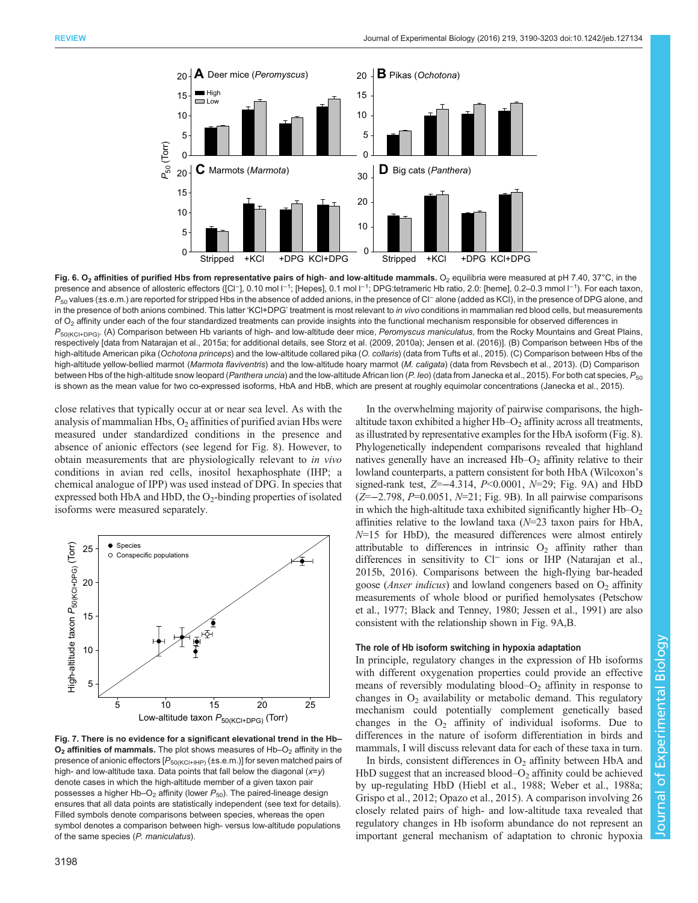<span id="page-8-0"></span>

Fig. 6. O<sub>2</sub> affinities of purified Hbs from representative pairs of high- and low-altitude mammals. O<sub>2</sub> equilibria were measured at pH 7.40, 37°C, in the presence and absence of allosteric effectors ([Cl⊤], 0.10 mol l<sup>−1</sup>; [Hepes], 0.1 mol l<sup>−1</sup>; DPG:tetrameric Hb ratio, 2.0: [heme], 0.2–0.3 mmol l<sup>−1</sup>). For each taxon, P<sub>50</sub> values (±s.e.m.) are reported for stripped Hbs in the absence of added anions, in the presence of Cl<sup>−</sup> alone (added as KCl), in the presence of DPG alone, and in the presence of both anions combined. This latter 'KCl+DPG' treatment is most relevant to in vivo conditions in mammalian red blood cells, but measurements of  $O<sub>2</sub>$  affinity under each of the four standardized treatments can provide insights into the functional mechanism responsible for observed differences in  $P_{50(KCl+DPG)}$ . (A) Comparison between Hb variants of high- and low-altitude deer mice, Peromyscus maniculatus, from the Rocky Mountains and Great Plains, respectively [data from [Natarajan et al., 2015a;](#page-12-0) for additional details, see [Storz et al. \(2009](#page-13-0), [2010a\)](#page-13-0); [Jensen et al. \(2016\)](#page-12-0)]. (B) Comparison between Hbs of the high-altitude American pika (Ochotona princeps) and the low-altitude collared pika (O. collaris) (data from [Tufts et al., 2015\)](#page-13-0). (C) Comparison between Hbs of the high-altitude yellow-bellied marmot (Marmota flaviventris) and the low-altitude hoary marmot (M. caligata) (data from [Revsbech et al., 2013](#page-13-0)). (D) Comparison between Hbs of the high-altitude snow leopard (Panthera uncia) and the low-altitude African lion (P. leo) (data from [Janecka et al., 2015\)](#page-12-0). For both cat species,  $P_{50}$ is shown as the mean value for two co-expressed isoforms, HbA and HbB, which are present at roughly equimolar concentrations ([Janecka et al., 2015\)](#page-12-0).

close relatives that typically occur at or near sea level. As with the analysis of mammalian Hbs,  $O_2$  affinities of purified avian Hbs were measured under standardized conditions in the presence and absence of anionic effectors (see legend for [Fig. 8](#page-9-0)). However, to obtain measurements that are physiologically relevant to in vivo conditions in avian red cells, inositol hexaphosphate (IHP; a chemical analogue of IPP) was used instead of DPG. In species that expressed both HbA and HbD, the  $O_2$ -binding properties of isolated isoforms were measured separately.



Fig. 7. There is no evidence for a significant elevational trend in the Hb–  $O<sub>2</sub>$  affinities of mammals. The plot shows measures of Hb– $O<sub>2</sub>$  affinity in the presence of anionic effectors  $[P_{50(KCl+IHP)}(\pm s.e.m.)]$  for seven matched pairs of high- and low-altitude taxa. Data points that fall below the diagonal  $(x=y)$ denote cases in which the high-altitude member of a given taxon pair possesses a higher Hb–O<sub>2</sub> affinity (lower  $P_{50}$ ). The paired-lineage design ensures that all data points are statistically independent (see text for details). Filled symbols denote comparisons between species, whereas the open symbol denotes a comparison between high- versus low-altitude populations of the same species (P. maniculatus).

altitude taxon exhibited a higher  $Hb-O<sub>2</sub>$  affinity across all treatments, as illustrated by representative examples for the HbA isoform ([Fig. 8\)](#page-9-0). Phylogenetically independent comparisons revealed that highland natives generally have an increased  $Hb-O<sub>2</sub>$  affinity relative to their lowland counterparts, a pattern consistent for both HbA (Wilcoxon's signed-rank test,  $Z=-4.314$ ,  $P<0.0001$ ,  $N=29$ ; [Fig. 9A](#page-10-0)) and HbD  $(Z=-2.798, P=0.0051, N=21; Fig. 9B)$  $(Z=-2.798, P=0.0051, N=21; Fig. 9B)$  $(Z=-2.798, P=0.0051, N=21; Fig. 9B)$ . In all pairwise comparisons in which the high-altitude taxa exhibited significantly higher  $Hb-O<sub>2</sub>$ affinities relative to the lowland taxa  $(N=23)$  taxon pairs for HbA,  $N=15$  for HbD), the measured differences were almost entirely attributable to differences in intrinsic  $O<sub>2</sub>$  affinity rather than differences in sensitivity to Cl<sup>−</sup> ions or IHP ([Natarajan et al.,](#page-12-0) [2015b](#page-12-0), [2016](#page-12-0)). Comparisons between the high-flying bar-headed goose (*Anser indicus*) and lowland congeners based on  $O<sub>2</sub>$  affinity measurements of whole blood or purified hemolysates ([Petschow](#page-13-0) [et al., 1977;](#page-13-0) [Black and Tenney, 1980](#page-11-0); [Jessen et al., 1991\)](#page-12-0) are also consistent with the relationship shown in [Fig. 9](#page-10-0)A,B.

In the overwhelming majority of pairwise comparisons, the high-

#### The role of Hb isoform switching in hypoxia adaptation

In principle, regulatory changes in the expression of Hb isoforms with different oxygenation properties could provide an effective means of reversibly modulating blood– $O<sub>2</sub>$  affinity in response to changes in  $O<sub>2</sub>$  availability or metabolic demand. This regulatory mechanism could potentially complement genetically based changes in the  $O_2$  affinity of individual isoforms. Due to differences in the nature of isoform differentiation in birds and mammals, I will discuss relevant data for each of these taxa in turn.

In birds, consistent differences in  $O_2$  affinity between HbA and HbD suggest that an increased blood– $O_2$  affinity could be achieved by up-regulating HbD ([Hiebl et al., 1988](#page-12-0); [Weber et al., 1988a](#page-13-0); [Grispo et al., 2012](#page-12-0); [Opazo et al., 2015\)](#page-12-0). A comparison involving 26 closely related pairs of high- and low-altitude taxa revealed that regulatory changes in Hb isoform abundance do not represent an important general mechanism of adaptation to chronic hypoxia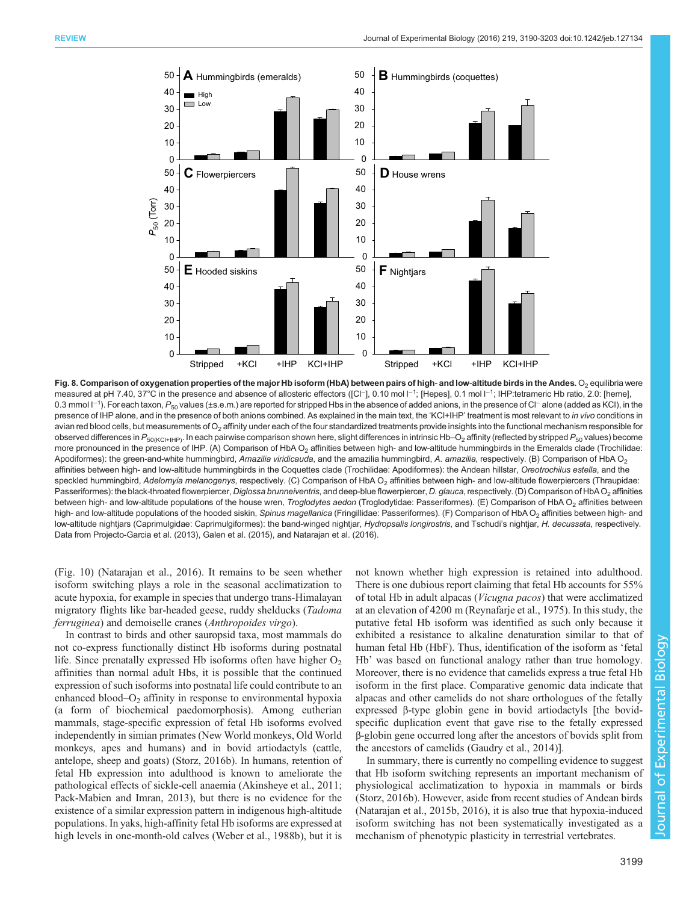<span id="page-9-0"></span>

Fig. 8. Comparison of oxygenation properties of the major Hb isoform (HbA) between pairs of high- and low-altitude birds in the Andes. O<sub>2</sub> equilibria were measured at pH 7.40, 37°C in the presence and absence of allosteric effectors ([Cl−], 0.10 mol l<sup>−1</sup>; [Hepes], 0.1 mol l<sup>−1</sup>; IHP:tetrameric Hb ratio, 2.0: [heme], 0.3 mmol l<sup>−1</sup>). For each taxon,  $P_{50}$  values (±s.e.m.) are reported for stripped Hbs in the absence of added anions, in the presence of Cl<sup>−</sup> alone (added as KCl), in the presence of IHP alone, and in the presence of both anions combined. As explained in the main text, the 'KCl+IHP' treatment is most relevant to in vivo conditions in avian red blood cells, but measurements of O<sub>2</sub> affinity under each of the four standardized treatments provide insights into the functional mechanism responsible for observed differences in  $P_{50(KCHHPP)}$ . In each pairwise comparison shown here, slight differences in intrinsic Hb–O<sub>2</sub> affinity (reflected by stripped  $P_{50}$  values) become more pronounced in the presence of IHP. (A) Comparison of HbA  $O<sub>2</sub>$  affinities between high- and low-altitude hummingbirds in the Emeralds clade (Trochilidae: Apodiformes): the green-and-white hummingbird, Amazilia viridicauda, and the amazilia hummingbird, A. amazilia, respectively. (B) Comparison of HbA O<sub>2</sub> affinities between high- and low-altitude hummingbirds in the Coquettes clade (Trochilidae: Apodiformes): the Andean hillstar, Oreotrochilus estella, and the speckled hummingbird, Adelomyia melanogenys, respectively. (C) Comparison of HbA O<sub>2</sub> affinities between high- and low-altitude flowerpiercers (Thraupidae: Passeriformes): the black-throated flowerpiercer, Diglossa brunneiventris, and deep-blue flowerpiercer, D. glauca, respectively. (D) Comparison of HbAO<sub>2</sub> affinities between high- and low-altitude populations of the house wren, Troglodytes aedon (Troglodytidae: Passeriformes). (E) Comparison of HbA O<sub>2</sub> affinities between high- and low-altitude populations of the hooded siskin, Spinus magellanica (Fringillidae: Passeriformes). (F) Comparison of HbA O<sub>2</sub> affinities between high- and low-altitude nightjars (Caprimulgidae: Caprimulgiformes): the band-winged nightjar, Hydropsalis longirostris, and Tschudi's nightjar, H. decussata, respectively. Data from [Projecto-Garcia et al. \(2013\)](#page-13-0), [Galen et al. \(2015\)](#page-12-0), and [Natarajan et al. \(2016\)](#page-12-0).

[\(Fig. 10](#page-10-0)) [\(Natarajan et al., 2016\)](#page-12-0). It remains to be seen whether isoform switching plays a role in the seasonal acclimatization to acute hypoxia, for example in species that undergo trans-Himalayan migratory flights like bar-headed geese, ruddy shelducks (Tadoma ferruginea) and demoiselle cranes (Anthropoides virgo).

In contrast to birds and other sauropsid taxa, most mammals do not co-express functionally distinct Hb isoforms during postnatal life. Since prenatally expressed Hb isoforms often have higher  $O_2$ affinities than normal adult Hbs, it is possible that the continued expression of such isoforms into postnatal life could contribute to an enhanced blood– $O_2$  affinity in response to environmental hypoxia (a form of biochemical paedomorphosis). Among eutherian mammals, stage-specific expression of fetal Hb isoforms evolved independently in simian primates (New World monkeys, Old World monkeys, apes and humans) and in bovid artiodactyls (cattle, antelope, sheep and goats) [\(Storz, 2016b\)](#page-13-0). In humans, retention of fetal Hb expression into adulthood is known to ameliorate the pathological effects of sickle-cell anaemia ([Akinsheye et al., 2011](#page-11-0); [Pack-Mabien and Imran, 2013](#page-12-0)), but there is no evidence for the existence of a similar expression pattern in indigenous high-altitude populations. In yaks, high-affinity fetal Hb isoforms are expressed at high levels in one-month-old calves [\(Weber et al., 1988b](#page-13-0)), but it is not known whether high expression is retained into adulthood. There is one dubious report claiming that fetal Hb accounts for 55% of total Hb in adult alpacas (Vicugna pacos) that were acclimatized at an elevation of 4200 m [\(Reynafarje et al., 1975](#page-13-0)). In this study, the putative fetal Hb isoform was identified as such only because it exhibited a resistance to alkaline denaturation similar to that of human fetal Hb (HbF). Thus, identification of the isoform as 'fetal Hb' was based on functional analogy rather than true homology. Moreover, there is no evidence that camelids express a true fetal Hb isoform in the first place. Comparative genomic data indicate that alpacas and other camelids do not share orthologues of the fetally expressed β-type globin gene in bovid artiodactyls [the bovidspecific duplication event that gave rise to the fetally expressed β-globin gene occurred long after the ancestors of bovids split from the ancestors of camelids [\(Gaudry et al., 2014\)](#page-12-0)].

In summary, there is currently no compelling evidence to suggest that Hb isoform switching represents an important mechanism of physiological acclimatization to hypoxia in mammals or birds [\(Storz, 2016b](#page-13-0)). However, aside from recent studies of Andean birds [\(Natarajan et al., 2015b, 2016\)](#page-12-0), it is also true that hypoxia-induced isoform switching has not been systematically investigated as mechanism of phenotypic plasticity in terrestrial vertebrates.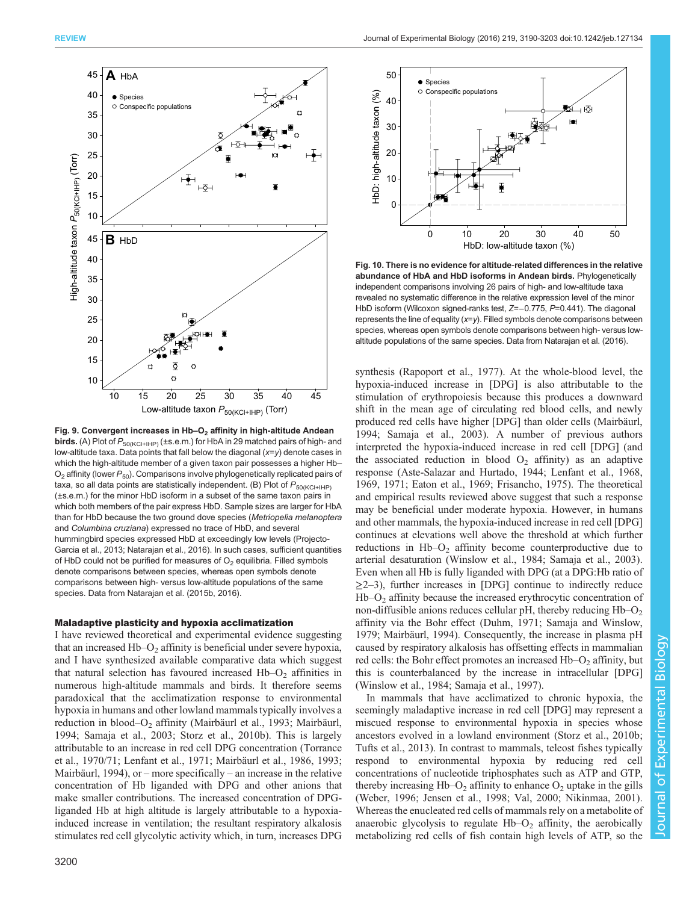<span id="page-10-0"></span>

Fig. 9. Convergent increases in  $Hb-O<sub>2</sub>$  affinity in high-altitude Andean **birds.** (A) Plot of  $P_{50(KCI+IHP)}$  (±s.e.m.) for HbA in 29 matched pairs of high- and low-altitude taxa. Data points that fall below the diagonal (x=y) denote cases in which the high-altitude member of a given taxon pair possesses a higher Hb–  $O_2$  affinity (lower  $P_{50}$ ). Comparisons involve phylogenetically replicated pairs of taxa, so all data points are statistically independent. (B) Plot of  $P_{50(KCl+IHP)}$ (±s.e.m.) for the minor HbD isoform in a subset of the same taxon pairs in which both members of the pair express HbD. Sample sizes are larger for HbA than for HbD because the two ground dove species (Metriopelia melanoptera and Columbina cruziana) expressed no trace of HbD, and several hummingbird species expressed HbD at exceedingly low levels ([Projecto-](#page-13-0)[Garcia et al., 2013;](#page-13-0) [Natarajan et al., 2016\)](#page-12-0). In such cases, sufficient quantities of HbD could not be purified for measures of  $O<sub>2</sub>$  equilibria. Filled symbols denote comparisons between species, whereas open symbols denote comparisons between high- versus low-altitude populations of the same species. Data from [Natarajan et al. \(2015b](#page-12-0), [2016\)](#page-12-0).

## Maladaptive plasticity and hypoxia acclimatization

I have reviewed theoretical and experimental evidence suggesting that an increased  $Hb-O<sub>2</sub>$  affinity is beneficial under severe hypoxia, and I have synthesized available comparative data which suggest that natural selection has favoured increased  $Hb-O<sub>2</sub>$  affinities in numerous high-altitude mammals and birds. It therefore seems paradoxical that the acclimatization response to environmental hypoxia in humans and other lowland mammals typically involves a reduction in blood–O<sub>2</sub> affinity [\(Mairbäurl et al., 1993](#page-12-0); [Mairbäurl,](#page-12-0) [1994](#page-12-0); [Samaja et al., 2003](#page-13-0); [Storz et al., 2010b\)](#page-13-0). This is largely attributable to an increase in red cell DPG concentration ([Torrance](#page-13-0) [et al., 1970/71](#page-13-0); [Lenfant et al., 1971; Mairbäurl et al., 1986](#page-12-0), [1993](#page-12-0); [Mairbäurl, 1994\)](#page-12-0), or – more specifically – an increase in the relative concentration of Hb liganded with DPG and other anions that make smaller contributions. The increased concentration of DPGliganded Hb at high altitude is largely attributable to a hypoxiainduced increase in ventilation; the resultant respiratory alkalosis stimulates red cell glycolytic activity which, in turn, increases DPG



Fig. 10. There is no evidence for altitude-related differences in the relative abundance of HbA and HbD isoforms in Andean birds. Phylogenetically independent comparisons involving 26 pairs of high- and low-altitude taxa revealed no systematic difference in the relative expression level of the minor HbD isoform (Wilcoxon signed-ranks test, Z=-0.775, P=0.441). The diagonal represents the line of equality  $(x=y)$ . Filled symbols denote comparisons between species, whereas open symbols denote comparisons between high- versus lowaltitude populations of the same species. Data from [Natarajan et al. \(2016\)](#page-12-0).

synthesis [\(Rapoport et al., 1977\)](#page-13-0). At the whole-blood level, the hypoxia-induced increase in [DPG] is also attributable to the stimulation of erythropoiesis because this produces a downward shift in the mean age of circulating red blood cells, and newly produced red cells have higher [DPG] than older cells [\(Mairbäurl,](#page-12-0) [1994;](#page-12-0) [Samaja et al., 2003\)](#page-13-0). A number of previous authors interpreted the hypoxia-induced increase in red cell [DPG] (and the associated reduction in blood  $O_2$  affinity) as an adaptive response ([Aste-Salazar and Hurtado, 1944;](#page-11-0) [Lenfant et al., 1968,](#page-12-0) [1969, 1971; Eaton et al., 1969](#page-12-0); [Frisancho, 1975\)](#page-12-0). The theoretical and empirical results reviewed above suggest that such a response may be beneficial under moderate hypoxia. However, in humans and other mammals, the hypoxia-induced increase in red cell [DPG] continues at elevations well above the threshold at which further reductions in Hb–O<sub>2</sub> affinity become counterproductive due to arterial desaturation [\(Winslow et al., 1984](#page-13-0); [Samaja et al., 2003\)](#page-13-0). Even when all Hb is fully liganded with DPG (at a DPG:Hb ratio of  $\geq$ 2–3), further increases in [DPG] continue to indirectly reduce  $Hb-O<sub>2</sub>$  affinity because the increased erythrocytic concentration of non-diffusible anions reduces cellular  $pH$ , thereby reducing  $Hb-O<sub>2</sub>$ affinity via the Bohr effect [\(Duhm, 1971](#page-11-0); [Samaja and Winslow,](#page-13-0) [1979;](#page-13-0) [Mairbäurl, 1994\)](#page-12-0). Consequently, the increase in plasma pH caused by respiratory alkalosis has offsetting effects in mammalian red cells: the Bohr effect promotes an increased  $Hb-O<sub>2</sub>$  affinity, but this is counterbalanced by the increase in intracellular [DPG] [\(Winslow et al., 1984; Samaja et al., 1997\)](#page-13-0).

In mammals that have acclimatized to chronic hypoxia, the seemingly maladaptive increase in red cell [DPG] may represent a miscued response to environmental hypoxia in species whose ancestors evolved in a lowland environment [\(Storz et al., 2010b](#page-13-0); [Tufts et al., 2013](#page-13-0)). In contrast to mammals, teleost fishes typically respond to environmental hypoxia by reducing red cell concentrations of nucleotide triphosphates such as ATP and GTP, thereby increasing  $Hb-O_2$  affinity to enhance  $O_2$  uptake in the gills [\(Weber, 1996;](#page-13-0) [Jensen et al., 1998;](#page-12-0) [Val, 2000;](#page-13-0) [Nikinmaa, 2001\)](#page-12-0). Whereas the enucleated red cells of mammals rely on a metabolite of anaerobic glycolysis to regulate  $Hb-O<sub>2</sub>$  affinity, the aerobically metabolizing red cells of fish contain high levels of ATP, so the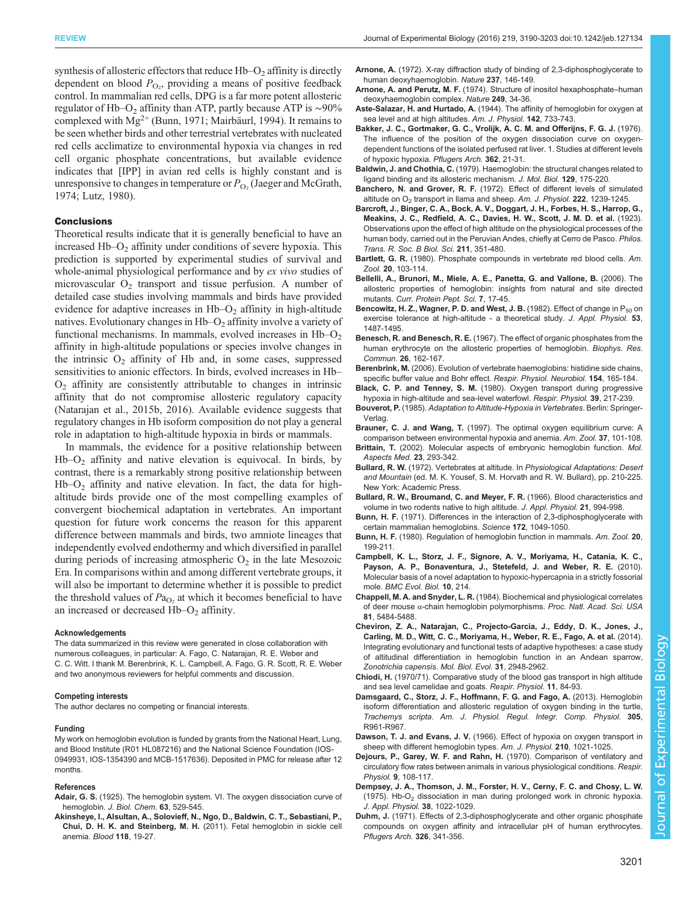<span id="page-11-0"></span>synthesis of allosteric effectors that reduce  $Hb-O<sub>2</sub>$  affinity is directly dependent on blood  $P_{\text{O}_2}$ , providing a means of positive feedback control. In mammalian red cells, DPG is a far more potent allosteric regulator of Hb–O<sub>2</sub> affinity than ATP, partly because ATP is ~90% complexed with  $Mg^{2+}$  (Bunn, 1971; [Mairbäurl, 1994\)](#page-12-0). It remains to be seen whether birds and other terrestrial vertebrates with nucleated red cells acclimatize to environmental hypoxia via changes in red cell organic phosphate concentrations, but available evidence indicates that [IPP] in avian red cells is highly constant and is unresponsive to changes in temperature or  $P_{\text{O}_2}$  [\(Jaeger and McGrath,](#page-12-0) [1974](#page-12-0); [Lutz, 1980\)](#page-12-0).

#### **Conclusions**

Theoretical results indicate that it is generally beneficial to have an increased  $Hb-O<sub>2</sub>$  affinity under conditions of severe hypoxia. This prediction is supported by experimental studies of survival and whole-animal physiological performance and by ex vivo studies of microvascular  $O_2$  transport and tissue perfusion. A number of detailed case studies involving mammals and birds have provided evidence for adaptive increases in  $Hb-O<sub>2</sub>$  affinity in high-altitude natives. Evolutionary changes in  $Hb-O<sub>2</sub>$  affinity involve a variety of functional mechanisms. In mammals, evolved increases in  $Hb-O<sub>2</sub>$ affinity in high-altitude populations or species involve changes in the intrinsic  $O_2$  affinity of Hb and, in some cases, suppressed sensitivities to anionic effectors. In birds, evolved increases in Hb–  $O<sub>2</sub>$  affinity are consistently attributable to changes in intrinsic affinity that do not compromise allosteric regulatory capacity [\(Natarajan et al., 2015b](#page-12-0), [2016](#page-12-0)). Available evidence suggests that regulatory changes in Hb isoform composition do not play a general role in adaptation to high-altitude hypoxia in birds or mammals.

In mammals, the evidence for a positive relationship between  $Hb-O<sub>2</sub>$  affinity and native elevation is equivocal. In birds, by contrast, there is a remarkably strong positive relationship between  $Hb-O<sub>2</sub>$  affinity and native elevation. In fact, the data for highaltitude birds provide one of the most compelling examples of convergent biochemical adaptation in vertebrates. An important question for future work concerns the reason for this apparent difference between mammals and birds, two amniote lineages that independently evolved endothermy and which diversified in parallel during periods of increasing atmospheric  $O_2$  in the late Mesozoic Era. In comparisons within and among different vertebrate groups, it will also be important to determine whether it is possible to predict the threshold values of  $Pa<sub>O</sub>$ , at which it becomes beneficial to have an increased or decreased  $Hb-O<sub>2</sub>$  affinity.

#### Acknowledgements

The data summarized in this review were generated in close collaboration with numerous colleagues, in particular: A. Fago, C. Natarajan, R. E. Weber and C. C. Witt. I thank M. Berenbrink, K. L. Campbell, A. Fago, G. R. Scott, R. E. Weber and two anonymous reviewers for helpful comments and discussion.

#### Competing interests

The author declares no competing or financial interests.

#### Funding

My work on hemoglobin evolution is funded by grants from the National Heart, Lung, and Blood Institute (R01 HL087216) and the National Science Foundation (IOS-0949931, IOS-1354390 and MCB-1517636). Deposited in PMC for release after 12 months.

#### References

- Adair, G. S. (1925). The hemoglobin system. VI. The oxygen dissociation curve of hemoglobin. J. Biol. Chem. 63, 529-545.
- [Akinsheye, I., Alsultan, A., Solovieff, N., Ngo, D., Baldwin, C. T., Sebastiani, P.,](http://dx.doi.org/10.1182/blood-2011-03-325258) Chui, D. H. K. and Steinberg, M. H. [\(2011\). Fetal hemoglobin in sickle cell](http://dx.doi.org/10.1182/blood-2011-03-325258) [anemia.](http://dx.doi.org/10.1182/blood-2011-03-325258) Blood 118, 19-27.
- Arnone, A. [\(1972\). X-ray diffraction study of binding of 2,3-diphosphoglycerate to](http://dx.doi.org/10.1038/237146a0) [human deoxyhaemoglobin.](http://dx.doi.org/10.1038/237146a0) Nature 237, 146-149.
- Arnone, A. and Perutz, M. F. [\(1974\). Structure of inositol hexaphosphate](http://dx.doi.org/10.1038/249034a0)-human [deoxyhaemoglobin complex.](http://dx.doi.org/10.1038/249034a0) Nature 249, 34-36.
- Aste-Salazar, H. and Hurtado, A. (1944). The affinity of hemoglobin for oxygen at sea level and at high altitudes. Am. J. Physiol. 142, 733-743.
- [Bakker, J. C., Gortmaker, G. C., Vrolijk, A. C. M. and Offerijns, F. G. J.](http://dx.doi.org/10.1007/BF00588677) (1976). [The influence of the position of the oxygen dissociation curve on oxygen](http://dx.doi.org/10.1007/BF00588677)[dependent functions of the isolated perfused rat liver. 1. Studies at different levels](http://dx.doi.org/10.1007/BF00588677) [of hypoxic hypoxia.](http://dx.doi.org/10.1007/BF00588677) Pflugers Arch. 362, 21-31.
- Baldwin, J. and Chothia, C. [\(1979\). Haemoglobin: the structural changes related to](http://dx.doi.org/10.1016/0022-2836(79)90277-8) [ligand binding and its allosteric mechanism.](http://dx.doi.org/10.1016/0022-2836(79)90277-8) J. Mol. Biol. 129, 175-220.
- Banchero, N. and Grover, R. F. (1972). Effect of different levels of simulated altitude on  $O<sub>2</sub>$  transport in llama and sheep. Am. J. Physiol. 222, 1239-1245.
- [Barcroft, J., Binger, C. A., Bock, A. V., Doggart, J. H., Forbes, H. S., Harrop, G.,](http://dx.doi.org/10.1098/rstb.1923.0008) [Meakins, J. C., Redfield, A. C., Davies, H. W., Scott, J. M. D. et al.](http://dx.doi.org/10.1098/rstb.1923.0008) (1923). [Observations upon the effect of high altitude on the physiological processes of the](http://dx.doi.org/10.1098/rstb.1923.0008) [human body, carried out in the Peruvian Andes, chiefly at Cerro de Pasco.](http://dx.doi.org/10.1098/rstb.1923.0008) Philos. [Trans. R. Soc. B Biol. Sci.](http://dx.doi.org/10.1098/rstb.1923.0008) 211, 351-480.
- Bartlett, G. R. [\(1980\). Phosphate compounds in vertebrate red blood cells.](http://dx.doi.org/10.1093/icb/20.1.103) Am. Zool. 20[, 103-114.](http://dx.doi.org/10.1093/icb/20.1.103)
- [Bellelli, A., Brunori, M., Miele, A. E., Panetta, G. and Vallone, B.](http://dx.doi.org/10.2174/138920306775474121) (2006). The [allosteric properties of hemoglobin: insights from natural and site directed](http://dx.doi.org/10.2174/138920306775474121) mutants. [Curr. Protein Pept. Sci.](http://dx.doi.org/10.2174/138920306775474121) 7, 17-45.
- Bencowitz, H. Z., Wagner, P. D. and West, J. B. (1982). Effect of change in P<sub>50</sub> on exercise tolerance at high-altitude - a theoretical study. J. Appl. Physiol. 53, 1487-1495.
- Benesch, R. and Benesch, R. E. [\(1967\). The effect of organic phosphates from the](http://dx.doi.org/10.1016/0006-291X(67)90228-8) [human erythrocyte on the allosteric properties of hemoglobin.](http://dx.doi.org/10.1016/0006-291X(67)90228-8) Biophys. Res. Commun. 26[, 162-167.](http://dx.doi.org/10.1016/0006-291X(67)90228-8)
- Berenbrink, M. [\(2006\). Evolution of vertebrate haemoglobins: histidine side chains,](http://dx.doi.org/10.1016/j.resp.2006.01.002) [specific buffer value and Bohr effect.](http://dx.doi.org/10.1016/j.resp.2006.01.002) Respir. Physiol. Neurobiol. 154, 165-184.
- Black, C. P. and Tenney, S. M. [\(1980\). Oxygen transport during progressive](http://dx.doi.org/10.1016/0034-5687(80)90046-8) [hypoxia in high-altitude and sea-level waterfowl.](http://dx.doi.org/10.1016/0034-5687(80)90046-8) Respir. Physiol. 39, 217-239.
- Bouverot, P. (1985). Adaptation to Altitude-Hypoxia in Vertebrates. Berlin: Springer-Verlag.
- Brauner, C. J. and Wang, T. [\(1997\). The optimal oxygen equilibrium curve: A](http://dx.doi.org/10.1093/icb/37.1.101) [comparison between environmental hypoxia and anemia.](http://dx.doi.org/10.1093/icb/37.1.101) Am. Zool. 37, 101-108.
- Brittain, T. [\(2002\). Molecular aspects of embryonic hemoglobin function.](http://dx.doi.org/10.1016/S0098-2997(02)00004-3) Mol. [Aspects Med.](http://dx.doi.org/10.1016/S0098-2997(02)00004-3) 23, 293-342.
- Bullard, R. W. (1972). Vertebrates at altitude. In Physiological Adaptations: Desert and Mountain (ed. M. K. Yousef, S. M. Horvath and R. W. Bullard), pp. 210-225. New York: Academic Press.
- Bullard, R. W., Broumand, C. and Meyer, F. R. (1966). Blood characteristics and volume in two rodents native to high altitude. J. Appl. Physiol. 21, 994-998.
- Bunn, H. F. [\(1971\). Differences in the interaction of 2,3-diphosphoglycerate with](http://dx.doi.org/10.1126/science.172.3987.1049) [certain mammalian hemoglobins.](http://dx.doi.org/10.1126/science.172.3987.1049) Science 172, 1049-1050.
- Bunn, H. F. [\(1980\). Regulation of hemoglobin function in mammals.](http://dx.doi.org/10.1093/icb/20.1.199) Am. Zool. 20, [199-211.](http://dx.doi.org/10.1093/icb/20.1.199)
- [Campbell, K. L., Storz, J. F., Signore, A. V., Moriyama, H., Catania, K. C.,](http://dx.doi.org/10.1186/1471-2148-10-214) [Payson, A. P., Bonaventura, J., Stetefeld, J. and Weber, R. E.](http://dx.doi.org/10.1186/1471-2148-10-214) (2010). [Molecular basis of a novel adaptation to hypoxic-hypercapnia in a strictly fossorial](http://dx.doi.org/10.1186/1471-2148-10-214) mole. [BMC Evol. Biol.](http://dx.doi.org/10.1186/1471-2148-10-214) 10, 214.
- Chappell, M. A. and Snyder, L. R. [\(1984\). Biochemical and physiological correlates](http://dx.doi.org/10.1073/pnas.81.17.5484) of deer mouse α[-chain hemoglobin polymorphisms.](http://dx.doi.org/10.1073/pnas.81.17.5484) Proc. Natl. Acad. Sci. USA 81[, 5484-5488.](http://dx.doi.org/10.1073/pnas.81.17.5484)
- [Cheviron, Z. A., Natarajan, C., Projecto-Garcia, J., Eddy, D. K., Jones, J.,](http://dx.doi.org/10.1093/molbev/msu234) [Carling, M. D., Witt, C. C., Moriyama, H., Weber, R. E., Fago, A. et al.](http://dx.doi.org/10.1093/molbev/msu234) (2014). [Integrating evolutionary and functional tests of adaptive hypotheses: a case study](http://dx.doi.org/10.1093/molbev/msu234) [of altitudinal differentiation in hemoglobin function in an Andean sparrow,](http://dx.doi.org/10.1093/molbev/msu234) [Zonotrichia capensis](http://dx.doi.org/10.1093/molbev/msu234). Mol. Biol. Evol. 31, 2948-2962.
- Chiodi, H. [\(1970/71\). Comparative study of the blood gas transport in high altitude](http://dx.doi.org/10.1016/0034-5687(70)90104-0) [and sea level camelidae and goats.](http://dx.doi.org/10.1016/0034-5687(70)90104-0) Respir. Physiol. 11, 84-93.
- [Damsgaard, C., Storz, J. F., Hoffmann, F. G. and Fago, A.](http://dx.doi.org/10.1152/ajpregu.00284.2013) (2013). Hemoglobin [isoform differentiation and allosteric regulation of oxygen binding in the turtle,](http://dx.doi.org/10.1152/ajpregu.00284.2013) Trachemys scripta. [Am. J. Physiol. Regul. Integr. Comp. Physiol.](http://dx.doi.org/10.1152/ajpregu.00284.2013) 305, [R961-R967.](http://dx.doi.org/10.1152/ajpregu.00284.2013)
- Dawson, T. J. and Evans, J. V. (1966). Effect of hypoxia on oxygen transport in sheep with different hemoglobin types. Am. J. Physiol. 210, 1021-1025.
- [Dejours, P., Garey, W. F. and Rahn, H.](http://dx.doi.org/10.1016/0034-5687(70)90063-0) (1970). Comparison of ventilatory and [circulatory flow rates between animals in various physiological conditions.](http://dx.doi.org/10.1016/0034-5687(70)90063-0) Respir. Physiol. 9[, 108-117.](http://dx.doi.org/10.1016/0034-5687(70)90063-0)
- Dempsey, J. A., Thomson, J. M., Forster, H. V., Cerny, F. C. and Chosy, L. W. (1975). Hb- $O<sub>2</sub>$  dissociation in man during prolonged work in chronic hypoxia. J. Appl. Physiol. 38, 1022-1029.
- Duhm, J. [\(1971\). Effects of 2,3-diphosphoglycerate and other organic phosphate](http://dx.doi.org/10.1007/BF00586998) [compounds on oxygen affinity and intracellular pH of human erythrocytes.](http://dx.doi.org/10.1007/BF00586998) [Pflugers Arch.](http://dx.doi.org/10.1007/BF00586998) 326, 341-356.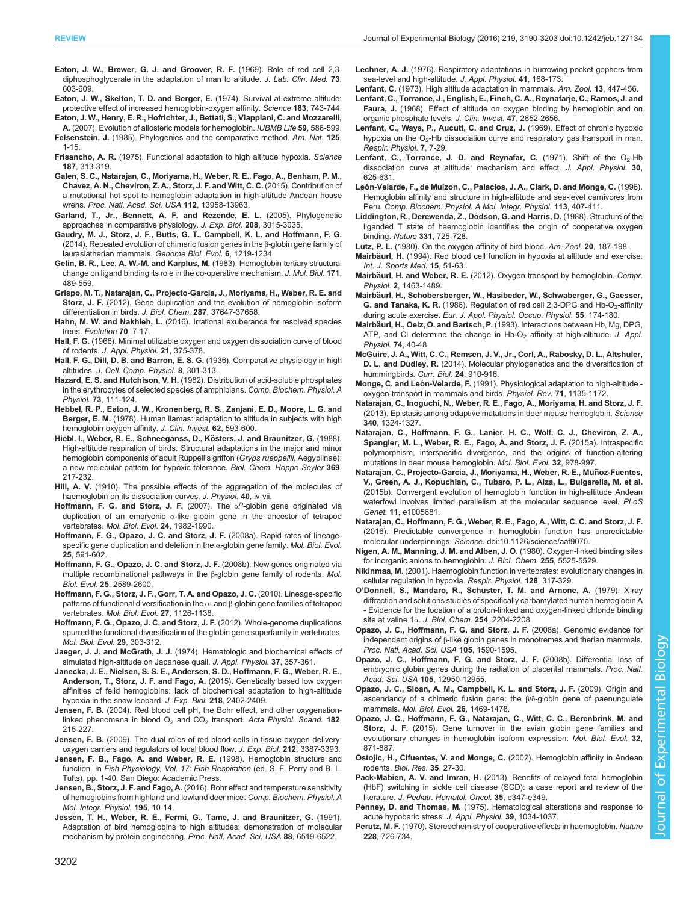<span id="page-12-0"></span>Eaton, J. W., Brewer, G. J. and Groover, R. F. (1969). Role of red cell 2,3 diphosphoglycerate in the adaptation of man to altitude. J. Lab. Clin. Med. 73, 603-609.

[Eaton, J. W., Skelton, T. D. and Berger, E.](http://dx.doi.org/10.1126/science.183.4126.743) (1974). Survival at extreme altitude: [protective effect of increased hemoglobin-oxygen affinity.](http://dx.doi.org/10.1126/science.183.4126.743) Science 183, 743-744. [Eaton, J. W., Henry, E. R., Hofrichter, J., Bettati, S., Viappiani, C. and Mozzarelli,](http://dx.doi.org/10.1080/15216540701272380)

- A. [\(2007\). Evolution of allosteric models for hemoglobin.](http://dx.doi.org/10.1080/15216540701272380) IUBMB Life 59, 586-599. Felsenstein, J. [\(1985\). Phylogenies and the comparative method.](http://dx.doi.org/10.1086/284325) Am. Nat. 125, [1-15.](http://dx.doi.org/10.1086/284325)
- Frisancho, A. R. [\(1975\). Functional adaptation to high altitude hypoxia.](http://dx.doi.org/10.1126/science.1089311) Science 187[, 313-319.](http://dx.doi.org/10.1126/science.1089311)
- [Galen, S. C., Natarajan, C., Moriyama, H., Weber, R. E., Fago, A., Benham, P. M.,](http://dx.doi.org/10.1073/pnas.1507300112) [Chavez, A. N., Cheviron, Z. A., Storz, J. F. and Witt, C. C.](http://dx.doi.org/10.1073/pnas.1507300112) (2015). Contribution of [a mutational hot spot to hemoglobin adaptation in high-altitude Andean house](http://dx.doi.org/10.1073/pnas.1507300112) wrens. [Proc. Natl. Acad. Sci. USA](http://dx.doi.org/10.1073/pnas.1507300112) 112, 13958-13963.
- [Garland, T., Jr., Bennett, A. F. and Rezende, E. L.](http://dx.doi.org/10.1242/jeb.01745) (2005). Phylogenetic [approaches in comparative physiology.](http://dx.doi.org/10.1242/jeb.01745) J. Exp. Biol. 208, 3015-3035
- [Gaudry, M. J., Storz, J. F., Butts, G. T., Campbell, K. L. and Hoffmann, F. G.](http://dx.doi.org/10.1093/gbe/evu097) [\(2014\). Repeated evolution of chimeric fusion genes in the](http://dx.doi.org/10.1093/gbe/evu097) β-globin gene family of [laurasiatherian mammals.](http://dx.doi.org/10.1093/gbe/evu097) Genome Biol. Evol. 6, 1219-1234.
- [Gelin, B. R., Lee, A. W.-M. and Karplus, M.](http://dx.doi.org/10.1016/0022-2836(83)90042-6) (1983). Hemoglobin tertiary structural [change on ligand binding its role in the co-operative mechanism.](http://dx.doi.org/10.1016/0022-2836(83)90042-6) J. Mol. Biol. 171, [489-559.](http://dx.doi.org/10.1016/0022-2836(83)90042-6)
- [Grispo, M. T., Natarajan, C., Projecto-Garcia, J., Moriyama, H., Weber, R. E. and](http://dx.doi.org/10.1074/jbc.M112.375600) Storz, J. F. [\(2012\). Gene duplication and the evolution of hemoglobin isoform](http://dx.doi.org/10.1074/jbc.M112.375600) [differentiation in birds.](http://dx.doi.org/10.1074/jbc.M112.375600) J. Biol. Chem. 287, 37647-37658.
- Hahn, M. W. and Nakhleh, L. [\(2016\). Irrational exuberance for resolved species](http://dx.doi.org/10.1111/evo.12832) trees. [Evolution](http://dx.doi.org/10.1111/evo.12832) 70, 7-17.
- Hall, F. G. (1966). Minimal utilizable oxygen and oxygen dissociation curve of blood of rodents. J. Appl. Physiol. 21, 375-378.
- [Hall, F. G., Dill, D. B. and Barron, E. S. G.](http://dx.doi.org/10.1002/jcp.1030080302) (1936). Comparative physiology in high altitudes. [J. Cell. Comp. Physiol.](http://dx.doi.org/10.1002/jcp.1030080302) 8, 301-313.
- Hazard, E. S. and Hutchison, V. H. [\(1982\). Distribution of acid-soluble phosphates](http://dx.doi.org/10.1016/0300-9629(82)90101-3) [in the erythrocytes of selected species of amphibians.](http://dx.doi.org/10.1016/0300-9629(82)90101-3) Comp. Biochem. Physiol. A Physiol. 73[, 111-124.](http://dx.doi.org/10.1016/0300-9629(82)90101-3)
- [Hebbel, R. P., Eaton, J. W., Kronenberg, R. S., Zanjani, E. D., Moore, L. G. and](http://dx.doi.org/10.1172/JCI109165) Berger, E. M. [\(1978\). Human llamas: adaptation to altitude in subjects with high](http://dx.doi.org/10.1172/JCI109165) [hemoglobin oxygen affinity.](http://dx.doi.org/10.1172/JCI109165) J. Clin. Invest. 62, 593-600.
- Hiebl, I., Weber, R. E., Schneeganss, D., Kösters, J. and Braunitzer, G. (1988). [High-altitude respiration of birds. Structural adaptations in the major and minor](http://dx.doi.org/10.1515/bchm3.1988.369.1.217) hemoglobin components of adult Rüppell's griffon (Gryps rueppellii, Aegypiinae): [a new molecular pattern for hypoxic tolerance.](http://dx.doi.org/10.1515/bchm3.1988.369.1.217) Biol. Chem. Hoppe Seyler 369, [217-232.](http://dx.doi.org/10.1515/bchm3.1988.369.1.217)
- Hill, A. V. (1910). The possible effects of the aggregation of the molecules of haemoglobin on its dissociation curves. J. Physiol. 40, iv-vii.
- [Hoffmann, F. G. and Storz, J. F.](http://dx.doi.org/10.1093/molbev/msm127) (2007). The  $\alpha^D$ [-globin gene originated via](http://dx.doi.org/10.1093/molbev/msm127) duplication of an embryonic  $\alpha$ [-like globin gene in the ancestor of tetrapod](http://dx.doi.org/10.1093/molbev/msm127) vertebrates. [Mol. Biol. Evol.](http://dx.doi.org/10.1093/molbev/msm127) 24, 1982-1990.
- [Hoffmann, F. G., Opazo, J. C. and Storz, J. F.](http://dx.doi.org/10.1093/molbev/msn004) (2008a). Rapid rates of lineage[specific gene duplication and deletion in the](http://dx.doi.org/10.1093/molbev/msn004)  $\alpha$ -globin gene family. Mol. Biol. Evol. 25[, 591-602.](http://dx.doi.org/10.1093/molbev/msn004)
- [Hoffmann, F. G., Opazo, J. C. and Storz, J. F.](http://dx.doi.org/10.1093/molbev/msn200) (2008b). New genes originated via [multiple recombinational pathways in the](http://dx.doi.org/10.1093/molbev/msn200) β-globin gene family of rodents. Mol. Biol. Evol. 25[, 2589-2600.](http://dx.doi.org/10.1093/molbev/msn200)
- [Hoffmann, F. G., Storz, J. F., Gorr, T. A. and Opazo, J. C.](http://dx.doi.org/10.1093/molbev/msp325) (2010). Lineage-specific [patterns of functional diversification in the](http://dx.doi.org/10.1093/molbev/msp325) α- and β-globin gene families of tetrapod vertebrates. [Mol. Biol. Evol.](http://dx.doi.org/10.1093/molbev/msp325) 27, 1126-1138.
- [Hoffmann, F. G., Opazo, J. C. and Storz, J. F.](http://dx.doi.org/10.1093/molbev/msr207) (2012). Whole-genome duplications [spurred the functional diversification of the globin gene superfamily in vertebrates.](http://dx.doi.org/10.1093/molbev/msr207) [Mol. Biol. Evol.](http://dx.doi.org/10.1093/molbev/msr207) 29, 303-312.
- Jaeger, J. J. and McGrath, J. J. (1974). Hematologic and biochemical effects of simulated high-altitude on Japanese quail. J. Appl. Physiol. 37, 357-361.
- [Janecka, J. E., Nielsen, S. S. E., Andersen, S. D., Hoffmann, F. G., Weber, R. E.,](http://dx.doi.org/10.1242/jeb.125369) [Anderson, T., Storz, J. F. and Fago, A.](http://dx.doi.org/10.1242/jeb.125369) (2015). Genetically based low oxygen [affinities of felid hemoglobins: lack of biochemical adaptation to high-altitude](http://dx.doi.org/10.1242/jeb.125369) [hypoxia in the snow leopard.](http://dx.doi.org/10.1242/jeb.125369) J. Exp. Biol. 218, 2402-2409.
- Jensen, F. B. [\(2004\). Red blood cell pH, the Bohr effect, and other oxygenation](http://dx.doi.org/10.1111/j.1365-201X.2004.01361.x)linked phenomena in blood  $O_2$  and  $CO_2$  transport. [Acta Physiol. Scand.](http://dx.doi.org/10.1111/j.1365-201X.2004.01361.x) 182, [215-227.](http://dx.doi.org/10.1111/j.1365-201X.2004.01361.x)
- Jensen, F. B. [\(2009\). The dual roles of red blood cells in tissue oxygen delivery:](http://dx.doi.org/10.1242/jeb.023697) [oxygen carriers and regulators of local blood flow.](http://dx.doi.org/10.1242/jeb.023697) J. Exp. Biol. 212, 3387-3393.
- Jensen, F. B., Fago, A. and Weber, R. E. (1998). Hemoglobin structure and function. In Fish Physiology, Vol. 17: Fish Respiration (ed. S. F. Perry and B. L. Tufts), pp. 1-40. San Diego: Academic Press.
- Jensen, B., Storz, J. F. and Fago, A. [\(2016\). Bohr effect and temperature sensitivity](http://dx.doi.org/10.1016/j.cbpa.2016.01.018) [of hemoglobins from highland and lowland deer mice.](http://dx.doi.org/10.1016/j.cbpa.2016.01.018) Comp. Biochem. Physiol. A [Mol. Integr. Physiol.](http://dx.doi.org/10.1016/j.cbpa.2016.01.018) 195, 10-14.
- [Jessen, T. H., Weber, R. E., Fermi, G., Tame, J. and Braunitzer, G.](http://dx.doi.org/10.1073/pnas.88.15.6519) (1991). [Adaptation of bird hemoglobins to high altitudes: demonstration of molecular](http://dx.doi.org/10.1073/pnas.88.15.6519) [mechanism by protein engineering.](http://dx.doi.org/10.1073/pnas.88.15.6519) Proc. Natl. Acad. Sci. USA 88, 6519-6522.
- Lechner, A. J. (1976). Respiratory adaptations in burrowing pocket gophers from sea-level and high-altitude. J. Appl. Physiol. 41, 168-173.
- Lenfant, C. [\(1973\). High altitude adaptation in mammals.](http://dx.doi.org/10.1093/icb/13.2.447) Am. Zool. 13, 447-456. [Lenfant, C., Torrance, J., English, E., Finch, C. A., Reynafarje, C., Ramos, J. and](http://dx.doi.org/10.1172/JCI105948)
- Faura, J. [\(1968\). Effect of altitude on oxygen binding by hemoglobin and on](http://dx.doi.org/10.1172/JCI105948) [organic phosphate levels.](http://dx.doi.org/10.1172/JCI105948) J. Clin. Invest. 47, 2652-2656.
- [Lenfant, C., Ways, P., Aucutt, C. and Cruz, J.](http://dx.doi.org/10.1016/0034-5687(69)90066-8) (1969). Effect of chronic hypoxic hypoxia on the  $O_2$ -Hb dissociation curve and respiratory gas transport in man. [Respir. Physiol.](http://dx.doi.org/10.1016/0034-5687(69)90066-8) 7, 7-29.
- Lenfant, C., Torrance, J. D. and Reynafar, C. (1971). Shift of the  $O_2$ -Hb dissociation curve at altitude: mechanism and effect. J. Appl. Physiol. 30, 625-631.
- Leó[n-Velarde, F., de Muizon, C., Palacios, J. A., Clark, D. and Monge, C.](http://dx.doi.org/10.1016/0300-9629(95)02083-7) (1996). [Hemoglobin affinity and structure in high-altitude and sea-level carnivores from](http://dx.doi.org/10.1016/0300-9629(95)02083-7) Peru. [Comp. Biochem. Physiol. A Mol. Integr. Physiol.](http://dx.doi.org/10.1016/0300-9629(95)02083-7) 113, 407-411.
- [Liddington, R., Derewenda, Z., Dodson, G. and Harris, D.](http://dx.doi.org/10.1038/331725a0) (1988). Structure of the [liganded T state of haemoglobin identifies the origin of cooperative oxygen](http://dx.doi.org/10.1038/331725a0) binding. Nature 331[, 725-728.](http://dx.doi.org/10.1038/331725a0)
- Lutz, P. L. [\(1980\). On the oxygen affinity of bird blood.](http://dx.doi.org/10.1093/icb/20.1.187) Am. Zool. 20, 187-198.
- Mairbäurl, H. [\(1994\). Red blood cell function in hypoxia at altitude and exercise.](http://dx.doi.org/10.1055/s-2007-1021020) [Int. J. Sports Med.](http://dx.doi.org/10.1055/s-2007-1021020) 15, 51-63.
- Mairbäurl, H. and Weber, R. E. [\(2012\). Oxygen transport by hemoglobin.](http://dx.doi.org/10.1002/cphy.c080113) Compr. Physiol. 2[, 1463-1489.](http://dx.doi.org/10.1002/cphy.c080113)
- Mairbä[url, H., Schobersberger, W., Hasibeder, W., Schwaberger, G., Gaesser,](http://dx.doi.org/10.1007/BF00715001) G. and Tanaka, K. R. (1986). Regulation of red cell 2,3-DPG and Hb-O<sub>2</sub>-affinity during acute exercise. [Eur. J. Appl. Physiol. Occup. Physiol.](http://dx.doi.org/10.1007/BF00715001) 55, 174-180.
- Mairbäurl, H., Oelz, O. and Bartsch, P. (1993). Interactions between Hb, Mg, DPG, ATP, and CI determine the change in  $Hb-O<sub>2</sub>$  affinity at high-altitude. J. Appl. Physiol. 74, 40-48.
- [McGuire, J. A., Witt, C. C., Remsen, J. V., Jr., Corl, A., Rabosky, D. L., Altshuler,](http://dx.doi.org/10.1016/j.cub.2014.03.016) D. L. and Dudley, R. [\(2014\). Molecular phylogenetics and the diversification of](http://dx.doi.org/10.1016/j.cub.2014.03.016) [hummingbirds.](http://dx.doi.org/10.1016/j.cub.2014.03.016) Curr. Biol. 24, 910-916.
- Monge, C. and León-Velarde, F. (1991). Physiological adaptation to high-altitude oxygen-transport in mammals and birds. Physiol. Rev. 71, 1135-1172.
- [Natarajan, C., Inoguchi, N., Weber, R. E., Fago, A., Moriyama, H. and Storz, J. F.](http://dx.doi.org/10.1126/science.1236862) [\(2013\). Epistasis among adaptive mutations in deer mouse hemoglobin.](http://dx.doi.org/10.1126/science.1236862) Science 340[, 1324-1327.](http://dx.doi.org/10.1126/science.1236862)
- [Natarajan, C., Hoffmann, F. G., Lanier, H. C., Wolf, C. J., Cheviron, Z. A.,](http://dx.doi.org/10.1093/molbev/msu403) [Spangler, M. L., Weber, R. E., Fago, A. and Storz, J. F.](http://dx.doi.org/10.1093/molbev/msu403) (2015a). Intraspecific [polymorphism, interspecific divergence, and the origins of function-altering](http://dx.doi.org/10.1093/molbev/msu403) [mutations in deer mouse hemoglobin.](http://dx.doi.org/10.1093/molbev/msu403) Mol. Biol. Evol. 32, 978-997.
- Natarajan, C., Projecto-Garcia, J., Moriyama, H., Weber, R. E., Muñoz-Fuentes, [V., Green, A. J., Kopuchian, C., Tubaro, P. L., Alza, L., Bulgarella, M. et al.](http://dx.doi.org/10.1371/journal.pgen.1005681) [\(2015b\). Convergent evolution of hemoglobin function in high-altitude Andean](http://dx.doi.org/10.1371/journal.pgen.1005681) [waterfowl involves limited parallelism at the molecular sequence level.](http://dx.doi.org/10.1371/journal.pgen.1005681) PLoS Genet. 11[, e1005681.](http://dx.doi.org/10.1371/journal.pgen.1005681)
- [Natarajan, C., Hoffmann, F. G., Weber, R. E., Fago, A., Witt, C. C. and Storz, J. F.](http://dx.doi.org/10.1126/science/aaf9070) [\(2016\). Predictable convergence in hemoglobin function has unpredictable](http://dx.doi.org/10.1126/science/aaf9070) molecular underpinnings. Science[. doi:10.1126/science/aaf9070.](http://dx.doi.org/10.1126/science/aaf9070)
- Nigen, A. M., Manning, J. M. and Alben, J. O. (1980). Oxygen-linked binding sites for inorganic anions to hemoglobin. J. Biol. Chem. 255, 5525-5529.
- Nikinmaa, M. [\(2001\). Haemoglobin function in vertebrates: evolutionary changes in](http://dx.doi.org/10.1016/S0034-5687(01)00309-7) [cellular regulation in hypoxia.](http://dx.doi.org/10.1016/S0034-5687(01)00309-7) Respir. Physiol. 128, 317-329.
- O'Donnell, S., Mandaro, R., Schuster, T. M. and Arnone, A. (1979). X-ray diffraction and solutions studies of specifically carbamylated human hemoglobin A - Evidence for the location of a proton-linked and oxygen-linked chloride binding site at valine 1α. J. Biol. Chem. 254, 2204-2208.
- [Opazo, J. C., Hoffmann, F. G. and Storz, J. F.](http://dx.doi.org/10.1073/pnas.0710531105) (2008a). Genomic evidence for independent origins of β[-like globin genes in monotremes and therian mammals.](http://dx.doi.org/10.1073/pnas.0710531105) [Proc. Natl. Acad. Sci. USA](http://dx.doi.org/10.1073/pnas.0710531105) 105, 1590-1595.
- [Opazo, J. C., Hoffmann, F. G. and Storz, J. F.](http://dx.doi.org/10.1073/pnas.0804392105) (2008b). Differential loss of [embryonic globin genes during the radiation of placental mammals.](http://dx.doi.org/10.1073/pnas.0804392105) Proc. Natl. [Acad. Sci. USA](http://dx.doi.org/10.1073/pnas.0804392105) 105, 12950-12955.
- [Opazo, J. C., Sloan, A. M., Campbell, K. L. and Storz, J. F.](http://dx.doi.org/10.1093/molbev/msp064) (2009). Origin and [ascendancy of a chimeric fusion gene: the](http://dx.doi.org/10.1093/molbev/msp064) β/δ-globin gene of paenungulate mammals. [Mol. Biol. Evol.](http://dx.doi.org/10.1093/molbev/msp064) 26, 1469-1478.
- [Opazo, J. C., Hoffmann, F. G., Natarajan, C., Witt, C. C., Berenbrink, M. and](http://dx.doi.org/10.1093/molbev/msu341) Storz, J. F. [\(2015\). Gene turnover in the avian globin gene families and](http://dx.doi.org/10.1093/molbev/msu341) [evolutionary changes in hemoglobin isoform expression.](http://dx.doi.org/10.1093/molbev/msu341) Mol. Biol. Evol. 32, [871-887.](http://dx.doi.org/10.1093/molbev/msu341)
- [Ostojic, H., Cifuentes, V. and Monge, C.](http://dx.doi.org/10.4067/S0716-97602002000100005) (2002). Hemoglobin affinity in Andean rodents. [Biol. Res.](http://dx.doi.org/10.4067/S0716-97602002000100005) 35, 27-30.
- Pack-Mabien, A. V. and Imran, H. [\(2013\). Benefits of delayed fetal hemoglobin](http://dx.doi.org/10.1097/MPH.0b013e3182880dc8) [\(HbF\) switching in sickle cell disease \(SCD\): a case report and review of the](http://dx.doi.org/10.1097/MPH.0b013e3182880dc8) literature. [J. Pediatr. Hematol. Oncol.](http://dx.doi.org/10.1097/MPH.0b013e3182880dc8) 35, e347-e349.
- Penney, D. and Thomas, M. (1975). Hematological alterations and response to acute hypobaric stress. J. Appl. Physiol. 39, 1034-1037.
- Perutz, M. F. [\(1970\). Stereochemistry of cooperative effects in haemoglobin.](http://dx.doi.org/10.1038/228726a0) Nature 228[, 726-734.](http://dx.doi.org/10.1038/228726a0)